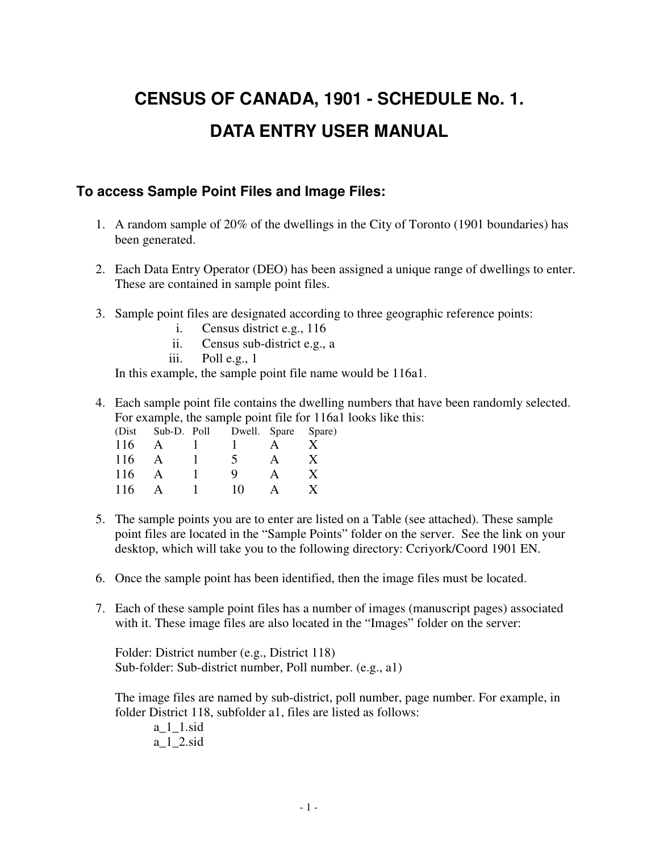# **CENSUS OF CANADA, 1901 - SCHEDULE No. 1. DATA ENTRY USER MANUAL**

#### **To access Sample Point Files and Image Files:**

- 1. A random sample of 20% of the dwellings in the City of Toronto (1901 boundaries) has been generated.
- 2. Each Data Entry Operator (DEO) has been assigned a unique range of dwellings to enter. These are contained in sample point files.
- 3. Sample point files are designated according to three geographic reference points:
	- i. Census district e.g., 116
	- ii. Census sub-district e.g., a
	- iii. Poll e.g., 1

In this example, the sample point file name would be 116a1.

4. Each sample point file contains the dwelling numbers that have been randomly selected. For example, the sample point file for 116a1 looks like this:

|     | (Dist Sub-D. Poll | Dwell. Spare Spare) |              |
|-----|-------------------|---------------------|--------------|
| 116 | $\mathsf{A}$      |                     |              |
| 116 |                   | 5                   | $\mathbf{X}$ |
| 116 |                   | Q                   |              |
| 116 |                   | 10                  |              |

- 5. The sample points you are to enter are listed on a Table (see attached). These sample point files are located in the "Sample Points" folder on the server. See the link on your desktop, which will take you to the following directory: Ccriyork/Coord 1901 EN.
- 6. Once the sample point has been identified, then the image files must be located.
- 7. Each of these sample point files has a number of images (manuscript pages) associated with it. These image files are also located in the "Images" folder on the server:

Folder: District number (e.g., District 118) Sub-folder: Sub-district number, Poll number. (e.g., a1)

The image files are named by sub-district, poll number, page number. For example, in folder District 118, subfolder a1, files are listed as follows:

 a\_1\_1.sid a\_1\_2.sid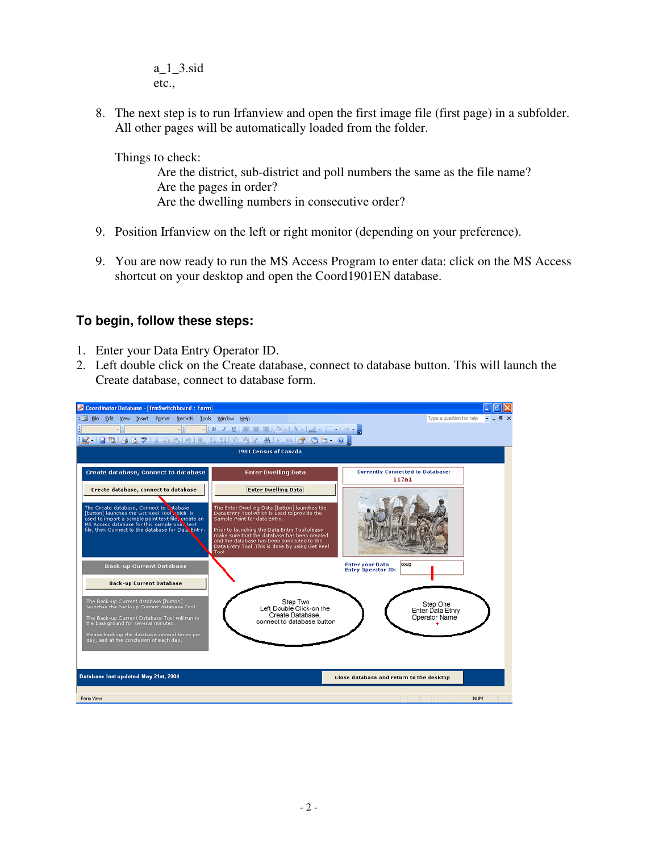a\_1\_3.sid etc.,

8. The next step is to run Irfanview and open the first image file (first page) in a subfolder. All other pages will be automatically loaded from the folder.

Things to check:

Are the district, sub-district and poll numbers the same as the file name? Are the pages in order? Are the dwelling numbers in consecutive order?

- 9. Position Irfanview on the left or right monitor (depending on your preference).
- 9. You are now ready to run the MS Access Program to enter data: click on the MS Access shortcut on your desktop and open the Coord1901EN database.

#### **To begin, follow these steps:**

- 1. Enter your Data Entry Operator ID.
- 2. Left double click on the Create database, connect to database button. This will launch the Create database, connect to database form.

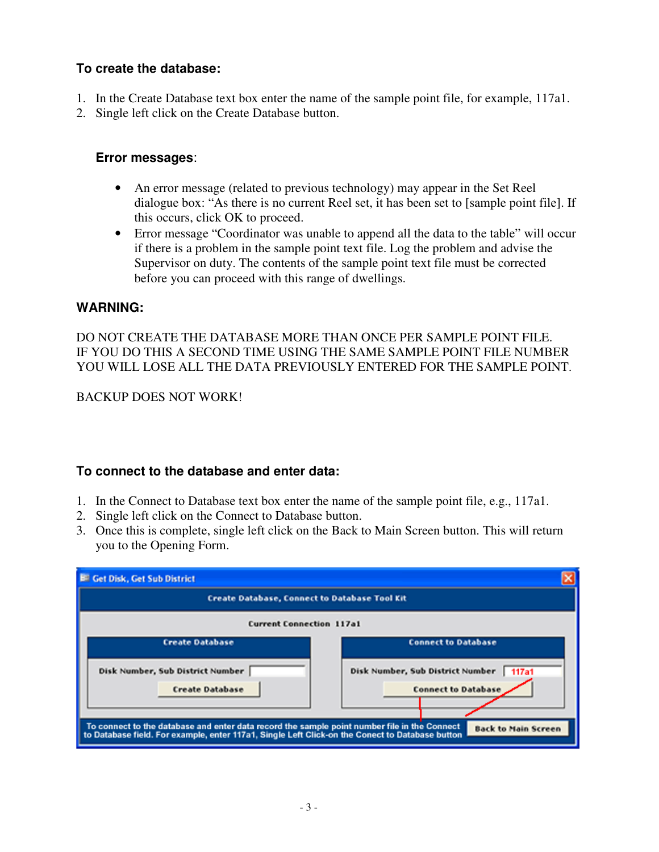#### **To create the database:**

- 1. In the Create Database text box enter the name of the sample point file, for example, 117a1.
- 2. Single left click on the Create Database button.

#### **Error messages**:

- An error message (related to previous technology) may appear in the Set Reel dialogue box: "As there is no current Reel set, it has been set to [sample point file]. If this occurs, click OK to proceed.
- Error message "Coordinator was unable to append all the data to the table" will occur if there is a problem in the sample point text file. Log the problem and advise the Supervisor on duty. The contents of the sample point text file must be corrected before you can proceed with this range of dwellings.

#### **WARNING:**

DO NOT CREATE THE DATABASE MORE THAN ONCE PER SAMPLE POINT FILE. IF YOU DO THIS A SECOND TIME USING THE SAME SAMPLE POINT FILE NUMBER YOU WILL LOSE ALL THE DATA PREVIOUSLY ENTERED FOR THE SAMPLE POINT.

BACKUP DOES NOT WORK!

#### **To connect to the database and enter data:**

- 1. In the Connect to Database text box enter the name of the sample point file, e.g., 117a1.
- 2. Single left click on the Connect to Database button.
- 3. Once this is complete, single left click on the Back to Main Screen button. This will return you to the Opening Form.

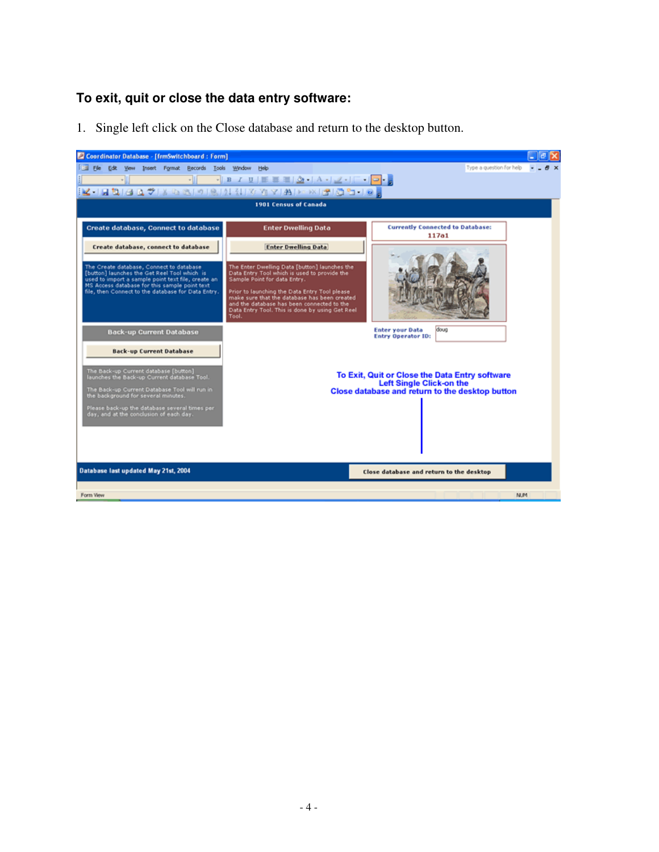#### **To exit, quit or close the data entry software:**

1. Single left click on the Close database and return to the desktop button.

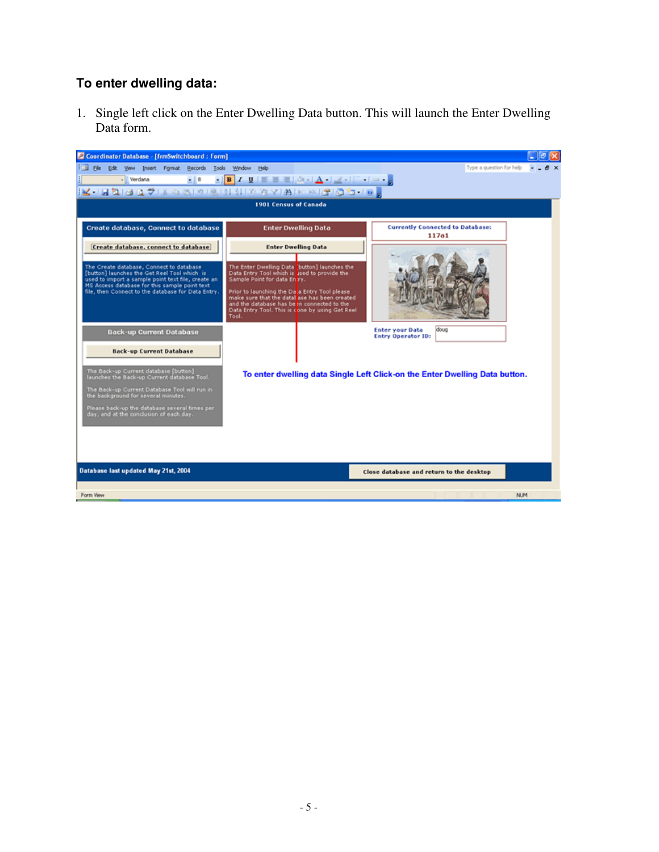#### **To enter dwelling data:**

1. Single left click on the Enter Dwelling Data button. This will launch the Enter Dwelling Data form.

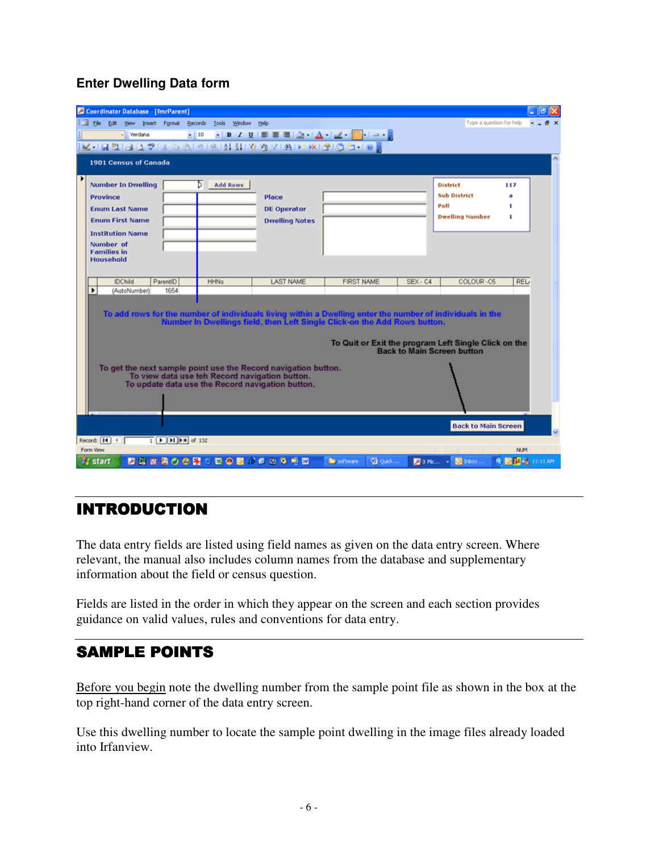#### **Enter Dwelling Data form**

|                                        | Coordinator Database - [fmrParent]                                 |                                                   |                                                |                                                                                                                    |                                                                                                                                                                                        |          |                                                                                           |                      |
|----------------------------------------|--------------------------------------------------------------------|---------------------------------------------------|------------------------------------------------|--------------------------------------------------------------------------------------------------------------------|----------------------------------------------------------------------------------------------------------------------------------------------------------------------------------------|----------|-------------------------------------------------------------------------------------------|----------------------|
|                                        |                                                                    | Elle Edit View Insert Format Records Tools Window | Help                                           |                                                                                                                    |                                                                                                                                                                                        |          | Type a question for help                                                                  |                      |
| - Verdana                              |                                                                    |                                                   |                                                |                                                                                                                    | - 10 - B Z U 트롤로 소니스니스 - - - - - -                                                                                                                                                     |          |                                                                                           |                      |
|                                        |                                                                    |                                                   |                                                |                                                                                                                    |                                                                                                                                                                                        |          |                                                                                           |                      |
| 1901 Census of Canada                  |                                                                    |                                                   |                                                |                                                                                                                    |                                                                                                                                                                                        |          |                                                                                           |                      |
| <b>Number In Owelling</b>              |                                                                    | ь                                                 | <b>Add Rows</b>                                |                                                                                                                    |                                                                                                                                                                                        |          | <b>District</b>                                                                           | 117                  |
| Province                               |                                                                    |                                                   |                                                | Place                                                                                                              |                                                                                                                                                                                        |          | <b>Sub District</b>                                                                       |                      |
| <b>Enum Last Name</b>                  |                                                                    |                                                   |                                                | <b>DE Operator</b>                                                                                                 |                                                                                                                                                                                        |          | Poll                                                                                      | 1                    |
| <b>Enum First Name</b>                 |                                                                    |                                                   |                                                | <b>Dwelling Notes</b>                                                                                              |                                                                                                                                                                                        |          | <b>Dwelling Number</b>                                                                    | ٠                    |
| <b>Institution Name</b>                |                                                                    |                                                   |                                                |                                                                                                                    |                                                                                                                                                                                        |          |                                                                                           |                      |
| Number of                              |                                                                    |                                                   |                                                |                                                                                                                    |                                                                                                                                                                                        |          |                                                                                           |                      |
| <b>Families in</b><br><b>Household</b> |                                                                    |                                                   |                                                |                                                                                                                    |                                                                                                                                                                                        |          |                                                                                           |                      |
|                                        |                                                                    |                                                   |                                                |                                                                                                                    |                                                                                                                                                                                        |          |                                                                                           |                      |
| <b>IDChild</b>                         | ParentID                                                           | <b>HHNo</b>                                       |                                                |                                                                                                                    |                                                                                                                                                                                        |          |                                                                                           |                      |
|                                        |                                                                    |                                                   |                                                |                                                                                                                    |                                                                                                                                                                                        |          |                                                                                           |                      |
| ▶<br>(AutoNumber)                      | 1654                                                               |                                                   |                                                | <b>LAST NAME</b>                                                                                                   | <b>FIRST NAME</b>                                                                                                                                                                      | SEX-C4   | COLOUR-CS                                                                                 | REL                  |
|                                        |                                                                    |                                                   |                                                |                                                                                                                    | To add rows for the number of individuals living within a Dwelling enter the number of individuals in the<br>Number In Dwellings field, then Left Single Click-on the Add Rows button. |          | To Quit or Exit the program Left Single Click on the<br><b>Back to Main Screen button</b> |                      |
|                                        |                                                                    |                                                   | To view data use teh Record navigation button. | To get the next sample point use the Record navigation button.<br>To update data use the Record navigation button. |                                                                                                                                                                                        |          |                                                                                           |                      |
|                                        |                                                                    |                                                   |                                                |                                                                                                                    |                                                                                                                                                                                        |          | <b>Back to Main Screen</b>                                                                |                      |
| Record: [14] 4                         | $\overline{1}$ $\overline{[1]}\overline{[1]}\overline{[1]}$ of 132 |                                                   |                                                |                                                                                                                    |                                                                                                                                                                                        |          |                                                                                           |                      |
| Form View<br><b>Start</b>              |                                                                    |                                                   | 国内内国の公開の四〇回がき出る印面                              |                                                                                                                    | <b>D</b> Quick<br>software                                                                                                                                                             | 图 3 Mc → | <b>D</b> Inbox                                                                            | NUM<br>● 回路路 0:01.6% |

## **INTRODUCTION**

The data entry fields are listed using field names as given on the data entry screen. Where relevant, the manual also includes column names from the database and supplementary information about the field or census question.

Fields are listed in the order in which they appear on the screen and each section provides guidance on valid values, rules and conventions for data entry.

## **SAMPLE POINTS**

Before you begin note the dwelling number from the sample point file as shown in the box at the top right-hand corner of the data entry screen.

Use this dwelling number to locate the sample point dwelling in the image files already loaded into Irfanview.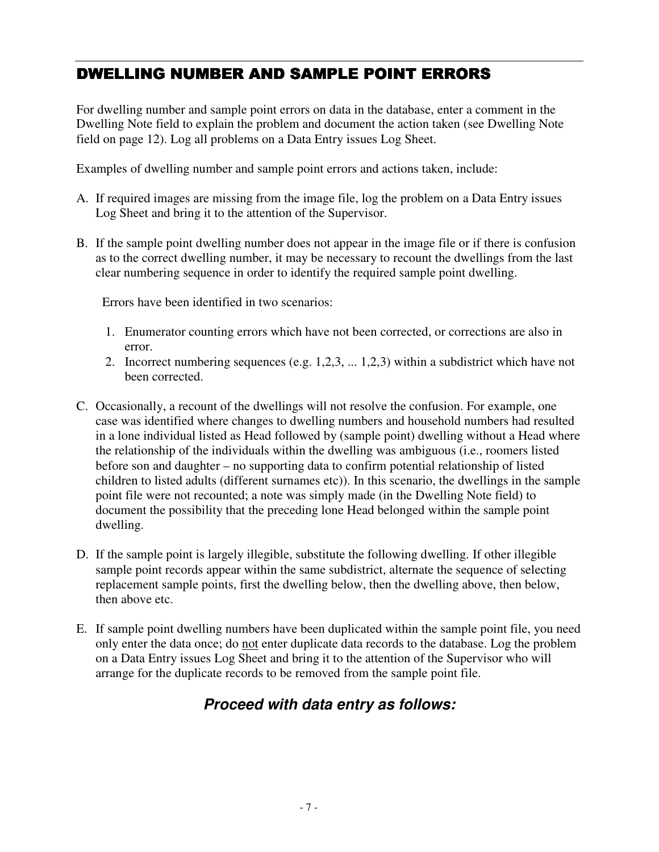## DWELLING NUMBER AND SAMPLE POINT ERRORS

For dwelling number and sample point errors on data in the database, enter a comment in the Dwelling Note field to explain the problem and document the action taken (see Dwelling Note field on page 12). Log all problems on a Data Entry issues Log Sheet.

Examples of dwelling number and sample point errors and actions taken, include:

- A. If required images are missing from the image file, log the problem on a Data Entry issues Log Sheet and bring it to the attention of the Supervisor.
- B. If the sample point dwelling number does not appear in the image file or if there is confusion as to the correct dwelling number, it may be necessary to recount the dwellings from the last clear numbering sequence in order to identify the required sample point dwelling.

Errors have been identified in two scenarios:

- 1. Enumerator counting errors which have not been corrected, or corrections are also in error.
- 2. Incorrect numbering sequences (e.g. 1,2,3, ... 1,2,3) within a subdistrict which have not been corrected.
- C. Occasionally, a recount of the dwellings will not resolve the confusion. For example, one case was identified where changes to dwelling numbers and household numbers had resulted in a lone individual listed as Head followed by (sample point) dwelling without a Head where the relationship of the individuals within the dwelling was ambiguous (i.e., roomers listed before son and daughter – no supporting data to confirm potential relationship of listed children to listed adults (different surnames etc)). In this scenario, the dwellings in the sample point file were not recounted; a note was simply made (in the Dwelling Note field) to document the possibility that the preceding lone Head belonged within the sample point dwelling.
- D. If the sample point is largely illegible, substitute the following dwelling. If other illegible sample point records appear within the same subdistrict, alternate the sequence of selecting replacement sample points, first the dwelling below, then the dwelling above, then below, then above etc.
- E. If sample point dwelling numbers have been duplicated within the sample point file, you need only enter the data once; do not enter duplicate data records to the database. Log the problem on a Data Entry issues Log Sheet and bring it to the attention of the Supervisor who will arrange for the duplicate records to be removed from the sample point file.

## **Proceed with data entry as follows:**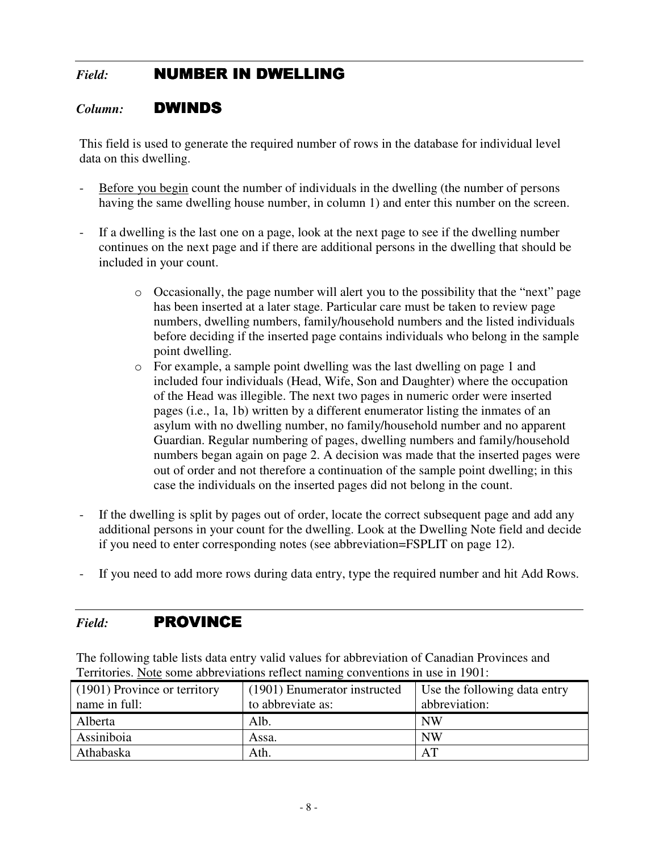## *Field:* **NUMBER IN DWELLING**

#### *Column:* DWINDS

This field is used to generate the required number of rows in the database for individual level data on this dwelling.

- Before you begin count the number of individuals in the dwelling (the number of persons having the same dwelling house number, in column 1) and enter this number on the screen.
- If a dwelling is the last one on a page, look at the next page to see if the dwelling number continues on the next page and if there are additional persons in the dwelling that should be included in your count.
	- $\circ$  Occasionally, the page number will alert you to the possibility that the "next" page has been inserted at a later stage. Particular care must be taken to review page numbers, dwelling numbers, family/household numbers and the listed individuals before deciding if the inserted page contains individuals who belong in the sample point dwelling.
	- o For example, a sample point dwelling was the last dwelling on page 1 and included four individuals (Head, Wife, Son and Daughter) where the occupation of the Head was illegible. The next two pages in numeric order were inserted pages (i.e., 1a, 1b) written by a different enumerator listing the inmates of an asylum with no dwelling number, no family/household number and no apparent Guardian. Regular numbering of pages, dwelling numbers and family/household numbers began again on page 2. A decision was made that the inserted pages were out of order and not therefore a continuation of the sample point dwelling; in this case the individuals on the inserted pages did not belong in the count.
- If the dwelling is split by pages out of order, locate the correct subsequent page and add any additional persons in your count for the dwelling. Look at the Dwelling Note field and decide if you need to enter corresponding notes (see abbreviation=FSPLIT on page 12).
- If you need to add more rows during data entry, type the required number and hit Add Rows.

## *Field:* PROVINCE

The following table lists data entry valid values for abbreviation of Canadian Provinces and Territories. Note some abbreviations reflect naming conventions in use in 1901:

| (1901) Province or territory | (1901) Enumerator instructed | Use the following data entry |
|------------------------------|------------------------------|------------------------------|
| name in full:                | to abbreviate as:            | abbreviation:                |
| Alberta                      | Alb.                         | NW                           |
| Assiniboia                   | Assa.                        | <b>NW</b>                    |
| Athabaska                    | Ath.                         | AT                           |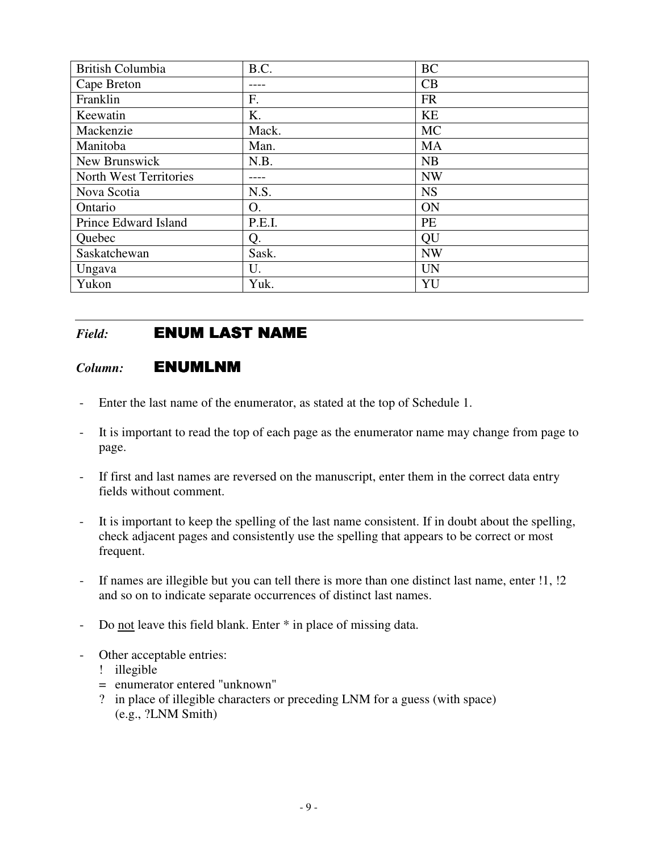| British Columbia       | B.C.   | <b>BC</b> |
|------------------------|--------|-----------|
| Cape Breton            |        | CB        |
| Franklin               | F.     | <b>FR</b> |
| Keewatin               | K.     | KE        |
| Mackenzie              | Mack.  | <b>MC</b> |
| Manitoba               | Man.   | <b>MA</b> |
| New Brunswick          | N.B.   | NB        |
| North West Territories |        | <b>NW</b> |
| Nova Scotia            | N.S.   | <b>NS</b> |
| Ontario                | Ο.     | ON        |
| Prince Edward Island   | P.E.I. | <b>PE</b> |
| Quebec                 | Q.     | QU        |
| Saskatchewan           | Sask.  | <b>NW</b> |
| Ungava                 | U.     | <b>UN</b> |
| Yukon                  | Yuk.   | YU        |

## *Field:* **ENUM LAST NAME**

#### *Column:* ENUMLNM

- Enter the last name of the enumerator, as stated at the top of Schedule 1.
- It is important to read the top of each page as the enumerator name may change from page to page.
- If first and last names are reversed on the manuscript, enter them in the correct data entry fields without comment.
- It is important to keep the spelling of the last name consistent. If in doubt about the spelling, check adjacent pages and consistently use the spelling that appears to be correct or most frequent.
- If names are illegible but you can tell there is more than one distinct last name, enter !1, !2 and so on to indicate separate occurrences of distinct last names.
- Do not leave this field blank. Enter  $*$  in place of missing data.
- Other acceptable entries:
	- ! illegible
	- = enumerator entered "unknown"
	- ? in place of illegible characters or preceding LNM for a guess (with space) (e.g., ?LNM Smith)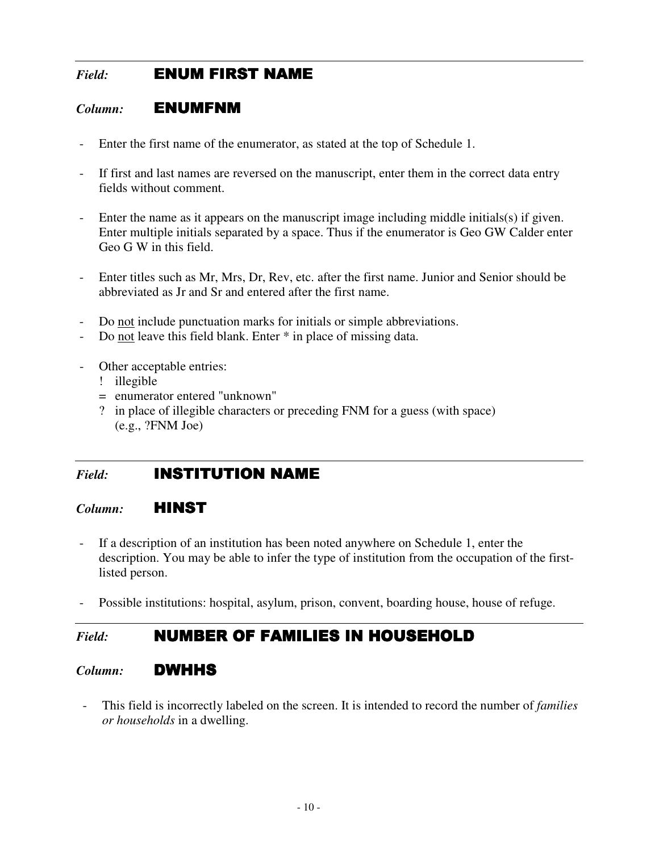## *Field:* **ENUM FIRST NAME**

#### *Column:* ENUMFNM ENUMFNM

- Enter the first name of the enumerator, as stated at the top of Schedule 1.
- If first and last names are reversed on the manuscript, enter them in the correct data entry fields without comment.
- Enter the name as it appears on the manuscript image including middle initials(s) if given. Enter multiple initials separated by a space. Thus if the enumerator is Geo GW Calder enter Geo G W in this field.
- Enter titles such as Mr, Mrs, Dr, Rev, etc. after the first name. Junior and Senior should be abbreviated as Jr and Sr and entered after the first name.
- Do not include punctuation marks for initials or simple abbreviations.
- Do not leave this field blank. Enter  $*$  in place of missing data.
- Other acceptable entries:
	- ! illegible
	- = enumerator entered "unknown"
	- ? in place of illegible characters or preceding FNM for a guess (with space) (e.g., ?FNM Joe)

#### *Field:* **INSTITUTION NAME**

#### *Column:* HINST

- If a description of an institution has been noted anywhere on Schedule 1, enter the description. You may be able to infer the type of institution from the occupation of the firstlisted person.
- Possible institutions: hospital, asylum, prison, convent, boarding house, house of refuge.

#### Field: **NUMBER OF FAMILIES IN HOUSEHOLD**

#### *Column:* DWHHS

- This field is incorrectly labeled on the screen. It is intended to record the number of *families or households* in a dwelling.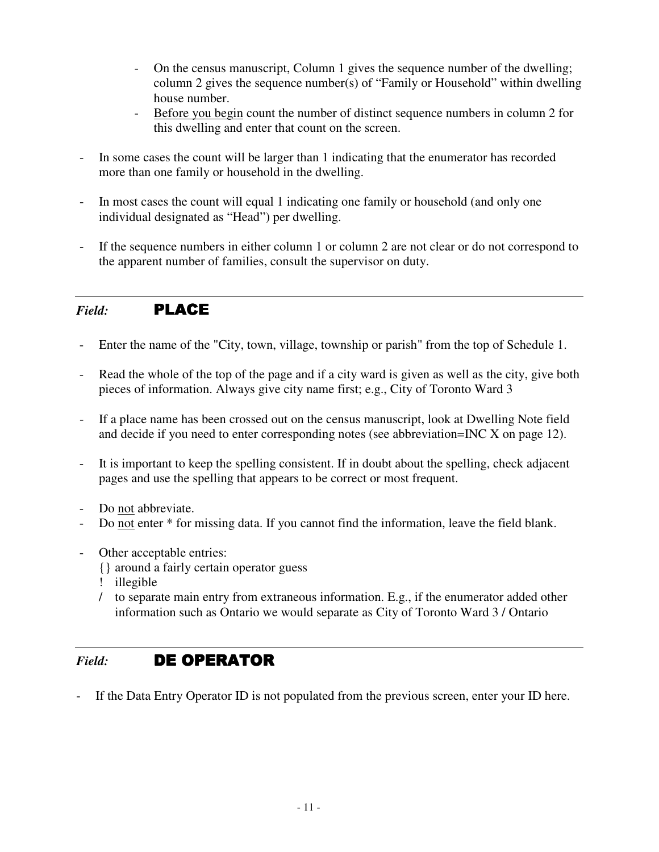- On the census manuscript, Column 1 gives the sequence number of the dwelling; column 2 gives the sequence number(s) of "Family or Household" within dwelling house number.
- Before you begin count the number of distinct sequence numbers in column 2 for this dwelling and enter that count on the screen.
- In some cases the count will be larger than 1 indicating that the enumerator has recorded more than one family or household in the dwelling.
- In most cases the count will equal 1 indicating one family or household (and only one individual designated as "Head") per dwelling.
- If the sequence numbers in either column 1 or column 2 are not clear or do not correspond to the apparent number of families, consult the supervisor on duty.

#### *Field:* PLACE

- Enter the name of the "City, town, village, township or parish" from the top of Schedule 1.
- Read the whole of the top of the page and if a city ward is given as well as the city, give both pieces of information. Always give city name first; e.g., City of Toronto Ward 3
- If a place name has been crossed out on the census manuscript, look at Dwelling Note field and decide if you need to enter corresponding notes (see abbreviation=INC X on page 12).
- It is important to keep the spelling consistent. If in doubt about the spelling, check adjacent pages and use the spelling that appears to be correct or most frequent.
- Do not abbreviate.
- Do not enter  $*$  for missing data. If you cannot find the information, leave the field blank.
- Other acceptable entries:
	- {} around a fairly certain operator guess
	- ! illegible
	- / to separate main entry from extraneous information. E.g., if the enumerator added other information such as Ontario we would separate as City of Toronto Ward 3 / Ontario

## *Field:* DE OPERATOR

If the Data Entry Operator ID is not populated from the previous screen, enter your ID here.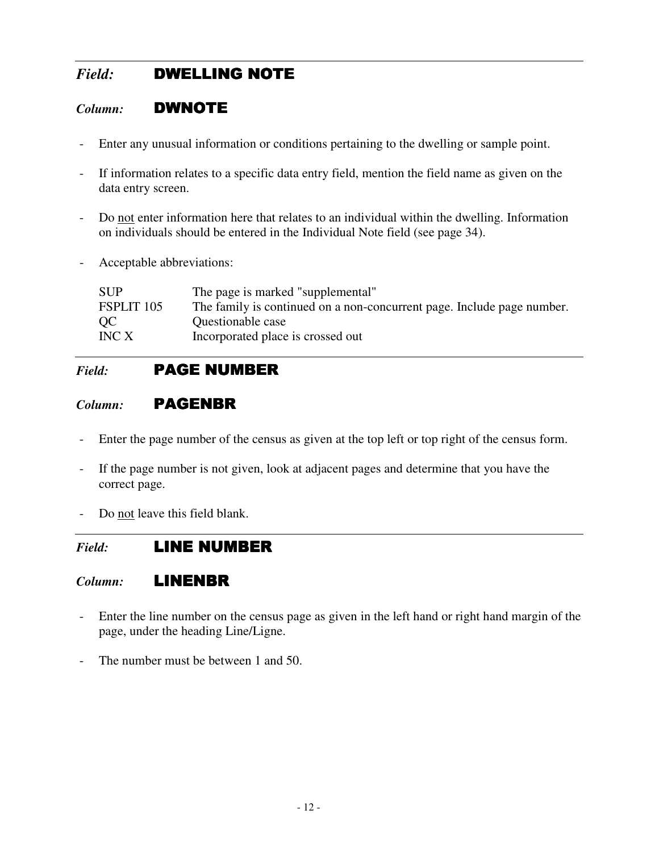## **Field:** DWELLING NOTE

#### *Column:* DWNOTE

- Enter any unusual information or conditions pertaining to the dwelling or sample point.
- If information relates to a specific data entry field, mention the field name as given on the data entry screen.
- Do not enter information here that relates to an individual within the dwelling. Information on individuals should be entered in the Individual Note field (see page 34).
- Acceptable abbreviations:

| <b>SUP</b> | The page is marked "supplemental"                                      |
|------------|------------------------------------------------------------------------|
| FSPLIT 105 | The family is continued on a non-concurrent page. Include page number. |
| OC.        | Questionable case                                                      |
| INC X      | Incorporated place is crossed out                                      |

## *Field:* **PAGE NUMBER**

#### *Column:* **PAGENBR**

- Enter the page number of the census as given at the top left or top right of the census form.
- If the page number is not given, look at adjacent pages and determine that you have the correct page.
- Do not leave this field blank.

## *Field:* **LINE NUMBER**

#### *Column:* LINENBR

- Enter the line number on the census page as given in the left hand or right hand margin of the page, under the heading Line/Ligne.
- The number must be between 1 and 50.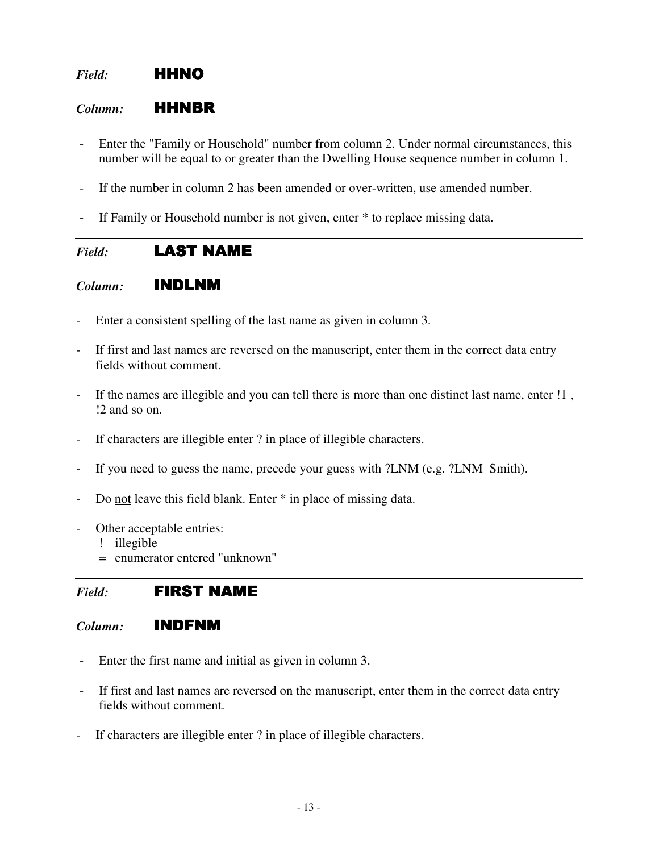## *Field:* HHNO

#### *Column:* HHNBR

- Enter the "Family or Household" number from column 2. Under normal circumstances, this number will be equal to or greater than the Dwelling House sequence number in column 1.
- If the number in column 2 has been amended or over-written, use amended number.
- If Family or Household number is not given, enter \* to replace missing data.

#### *Field:* **LAST NAME**

#### *Column:* INDLNM

- Enter a consistent spelling of the last name as given in column 3.
- If first and last names are reversed on the manuscript, enter them in the correct data entry fields without comment.
- If the names are illegible and you can tell there is more than one distinct last name, enter !1, !2 and so on.
- If characters are illegible enter ? in place of illegible characters.
- If you need to guess the name, precede your guess with ?LNM (e.g. ?LNM Smith).
- Do not leave this field blank. Enter \* in place of missing data.
- Other acceptable entries:
	- ! illegible
	- = enumerator entered "unknown"

## *Field:* FIRST NAME

#### *Column:* INDFNM

- Enter the first name and initial as given in column 3.
- If first and last names are reversed on the manuscript, enter them in the correct data entry fields without comment.
- If characters are illegible enter ? in place of illegible characters.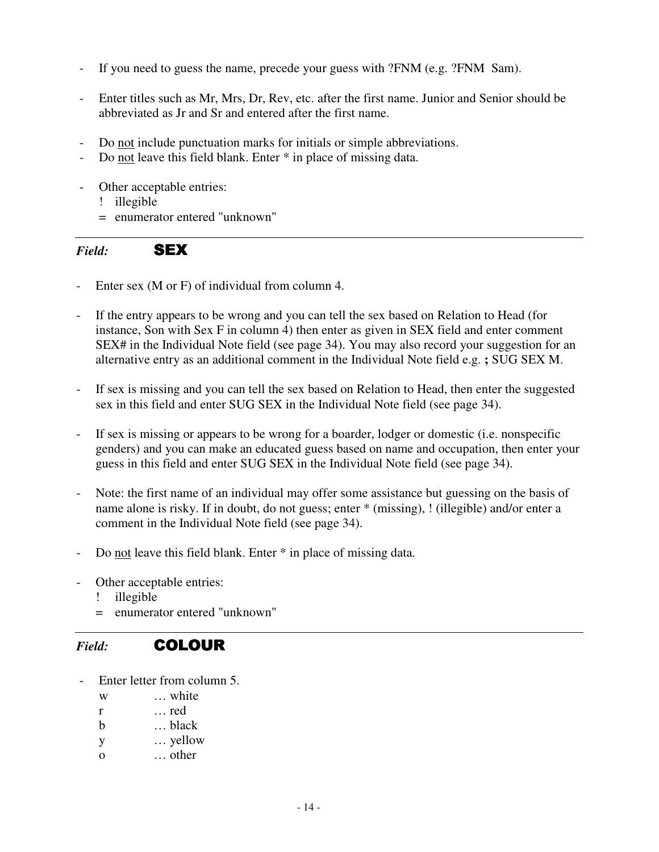- If you need to guess the name, precede your guess with ?FNM (e.g. ?FNM Sam).
- Enter titles such as Mr, Mrs, Dr, Rev, etc. after the first name. Junior and Senior should be abbreviated as Jr and Sr and entered after the first name.
- Do not include punctuation marks for initials or simple abbreviations.
- Do not leave this field blank. Enter  $*$  in place of missing data.
- Other acceptable entries:
	- ! illegible
	- = enumerator entered "unknown"

*Field:* SEX

- Enter sex (M or F) of individual from column 4.
- If the entry appears to be wrong and you can tell the sex based on Relation to Head (for instance, Son with Sex F in column 4) then enter as given in SEX field and enter comment SEX# in the Individual Note field (see page 34). You may also record your suggestion for an alternative entry as an additional comment in the Individual Note field e.g. **;** SUG SEX M.
- If sex is missing and you can tell the sex based on Relation to Head, then enter the suggested sex in this field and enter SUG SEX in the Individual Note field (see page 34).
- If sex is missing or appears to be wrong for a boarder, lodger or domestic (i.e. nonspecific genders) and you can make an educated guess based on name and occupation, then enter your guess in this field and enter SUG SEX in the Individual Note field (see page 34).
- Note: the first name of an individual may offer some assistance but guessing on the basis of name alone is risky. If in doubt, do not guess; enter \* (missing), ! (illegible) and/or enter a comment in the Individual Note field (see page 34).
- Do not leave this field blank. Enter  $*$  in place of missing data.
- Other acceptable entries:
	- ! illegible
	- = enumerator entered "unknown"

#### *Field:* COLOUR

- Enter letter from column 5.
	- w … white
	- r … red
	- b … black
	- y … yellow
	- o … other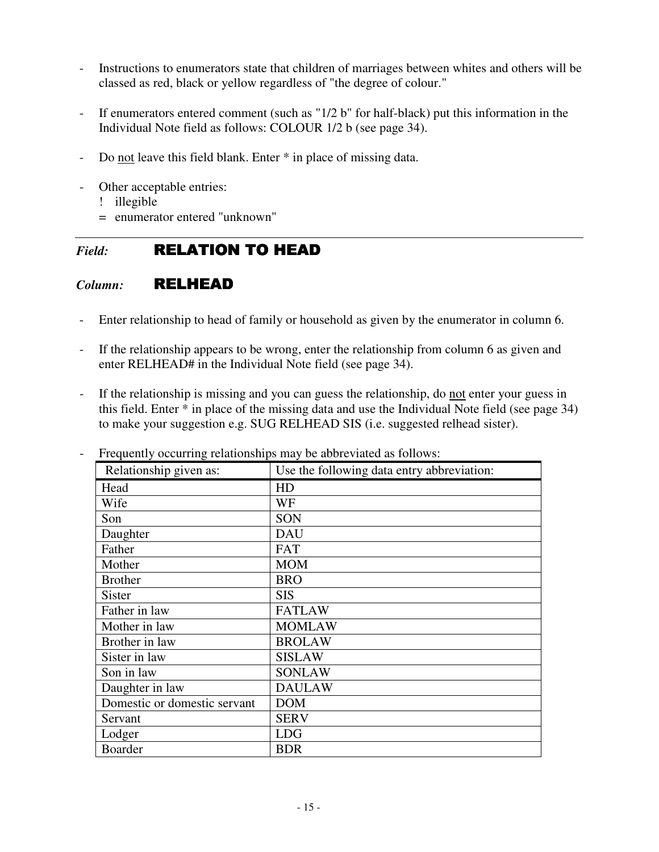- Instructions to enumerators state that children of marriages between whites and others will be classed as red, black or yellow regardless of "the degree of colour."
- If enumerators entered comment (such as "1/2 b" for half-black) put this information in the Individual Note field as follows: COLOUR 1/2 b (see page 34).
- Do not leave this field blank. Enter  $*$  in place of missing data.
- Other acceptable entries:
	- ! illegible
	- = enumerator entered "unknown"

## *Field:* RELATION TO HEAD

#### *Column:* RELHEAD

- Enter relationship to head of family or household as given by the enumerator in column 6.
- If the relationship appears to be wrong, enter the relationship from column 6 as given and enter RELHEAD# in the Individual Note field (see page 34).
- If the relationship is missing and you can guess the relationship, do not enter your guess in this field. Enter \* in place of the missing data and use the Individual Note field (see page 34) to make your suggestion e.g. SUG RELHEAD SIS (i.e. suggested relhead sister).

| Relationship given as:       | Use the following data entry abbreviation: |
|------------------------------|--------------------------------------------|
| Head                         | HD                                         |
| Wife                         | WF                                         |
| Son                          | SON                                        |
| Daughter                     | <b>DAU</b>                                 |
| Father                       | <b>FAT</b>                                 |
| Mother                       | <b>MOM</b>                                 |
| <b>Brother</b>               | <b>BRO</b>                                 |
| <b>Sister</b>                | <b>SIS</b>                                 |
| Father in law                | <b>FATLAW</b>                              |
| Mother in law                | <b>MOMLAW</b>                              |
| Brother in law               | <b>BROLAW</b>                              |
| Sister in law                | <b>SISLAW</b>                              |
| Son in law                   | <b>SONLAW</b>                              |
| Daughter in law              | <b>DAULAW</b>                              |
| Domestic or domestic servant | <b>DOM</b>                                 |
| Servant                      | <b>SERV</b>                                |
| Lodger                       | <b>LDG</b>                                 |
| <b>Boarder</b>               | <b>BDR</b>                                 |

Frequently occurring relationships may be abbreviated as follows: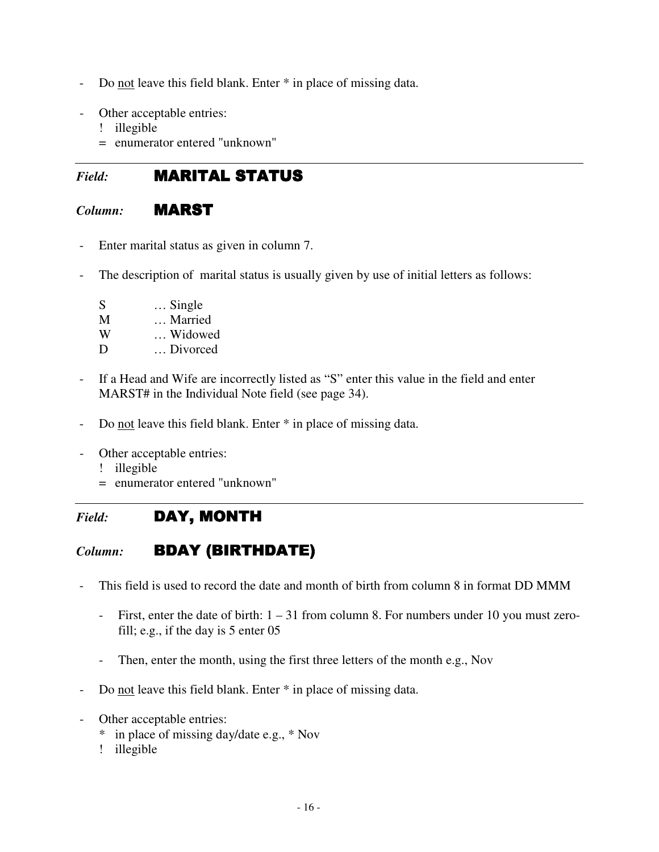- Do not leave this field blank. Enter  $*$  in place of missing data.
- Other acceptable entries:
	- ! illegible
	- = enumerator entered "unknown"

## *Field:* **MARITAL STATUS**

## *Column:* MARST

- Enter marital status as given in column 7.
- The description of marital status is usually given by use of initial letters as follows:
	- S … Single M … Married W … Widowed D … Divorced
- If a Head and Wife are incorrectly listed as "S" enter this value in the field and enter MARST# in the Individual Note field (see page 34).
- Do not leave this field blank. Enter  $*$  in place of missing data.
- Other acceptable entries:
	- ! illegible
	- = enumerator entered "unknown"
- *Field:* DAY, MONTH

## *Column:* **BDAY (BIRTHDATE)**

- This field is used to record the date and month of birth from column 8 in format DD MMM
	- First, enter the date of birth: 1 31 from column 8. For numbers under 10 you must zerofill; e.g., if the day is 5 enter 05
	- Then, enter the month, using the first three letters of the month e.g., Nov
- Do not leave this field blank. Enter  $*$  in place of missing data.
- Other acceptable entries:
	- \* in place of missing day/date e.g., \* Nov
	- ! illegible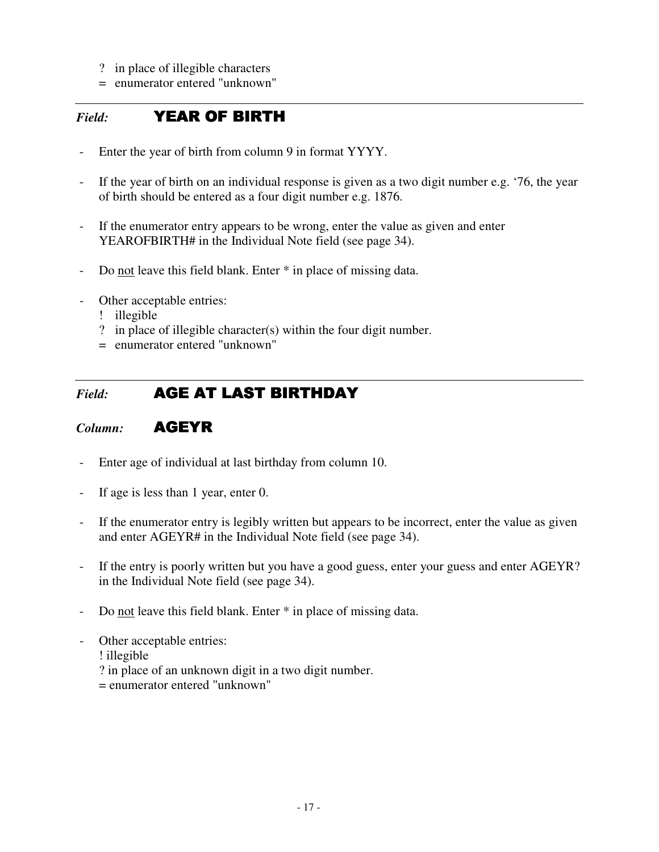- ? in place of illegible characters
- = enumerator entered "unknown"

#### *Field:* YEAR OF BIRTH YEAR OF BIRTH

- Enter the year of birth from column 9 in format YYYY.
- If the year of birth on an individual response is given as a two digit number e.g. '76, the year of birth should be entered as a four digit number e.g. 1876.
- If the enumerator entry appears to be wrong, enter the value as given and enter YEAROFBIRTH# in the Individual Note field (see page 34).
- Do not leave this field blank. Enter \* in place of missing data.
- Other acceptable entries:
	- ! illegible
	- ? in place of illegible character(s) within the four digit number.
	- = enumerator entered "unknown"

#### *Field:* **AGE AT LAST BIRTHDAY**

#### *Column:* AGEYR

- Enter age of individual at last birthday from column 10.
- If age is less than 1 year, enter 0.
- If the enumerator entry is legibly written but appears to be incorrect, enter the value as given and enter AGEYR# in the Individual Note field (see page 34).
- If the entry is poorly written but you have a good guess, enter your guess and enter AGEYR? in the Individual Note field (see page 34).
- Do not leave this field blank. Enter  $*$  in place of missing data.
- Other acceptable entries:
	- ! illegible
	- ? in place of an unknown digit in a two digit number.
	- = enumerator entered "unknown"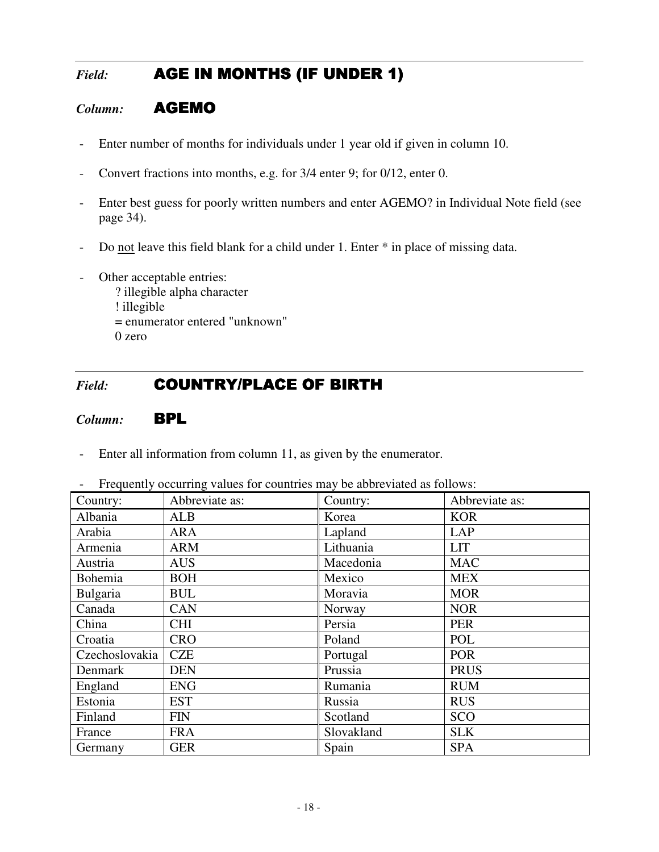## *Field:* **AGE IN MONTHS (IF UNDER 1)**

#### *Column:* AGEMO

- Enter number of months for individuals under 1 year old if given in column 10.
- Convert fractions into months, e.g. for 3/4 enter 9; for 0/12, enter 0.
- Enter best guess for poorly written numbers and enter AGEMO? in Individual Note field (see page 34).
- Do not leave this field blank for a child under 1. Enter  $*$  in place of missing data.
- Other acceptable entries:
	- ? illegible alpha character
	- ! illegible
	- = enumerator entered "unknown"

0 zero

## Field: **COUNTRY/PLACE OF BIRTH**

#### *Column:* BPL

- Enter all information from column 11, as given by the enumerator.

| Country:       | Abbreviate as: | Country:   | Abbreviate as: |
|----------------|----------------|------------|----------------|
| Albania        | <b>ALB</b>     | Korea      | <b>KOR</b>     |
| Arabia         | ARA            | Lapland    | <b>LAP</b>     |
| Armenia        | <b>ARM</b>     | Lithuania  | <b>LIT</b>     |
| Austria        | <b>AUS</b>     | Macedonia  | <b>MAC</b>     |
| Bohemia        | <b>BOH</b>     | Mexico     | <b>MEX</b>     |
| Bulgaria       | <b>BUL</b>     | Moravia    | <b>MOR</b>     |
| Canada         | CAN            | Norway     | <b>NOR</b>     |
| China          | <b>CHI</b>     | Persia     | <b>PER</b>     |
| Croatia        | <b>CRO</b>     | Poland     | POL            |
| Czechoslovakia | <b>CZE</b>     | Portugal   | <b>POR</b>     |
| Denmark        | <b>DEN</b>     | Prussia    | <b>PRUS</b>    |
| England        | <b>ENG</b>     | Rumania    | <b>RUM</b>     |
| Estonia        | <b>EST</b>     | Russia     | <b>RUS</b>     |
| Finland        | <b>FIN</b>     | Scotland   | SCO            |
| France         | <b>FRA</b>     | Slovakland | <b>SLK</b>     |
| Germany        | <b>GER</b>     | Spain      | <b>SPA</b>     |

- Frequently occurring values for countries may be abbreviated as follows: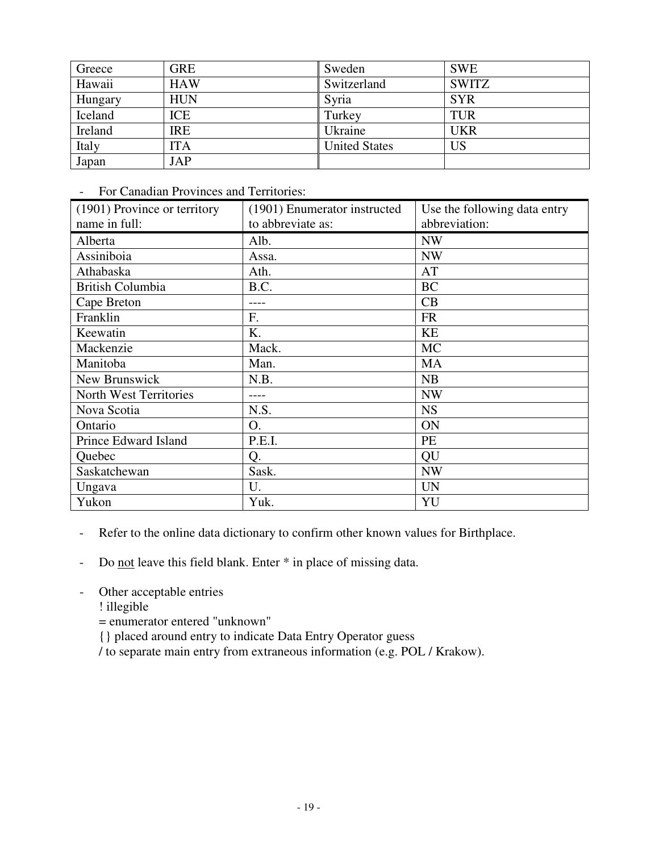| Greece  | GRE        | Sweden               | <b>SWE</b>   |
|---------|------------|----------------------|--------------|
| Hawaii  | <b>HAW</b> | Switzerland          | <b>SWITZ</b> |
| Hungary | <b>HUN</b> | Syria                | <b>SYR</b>   |
| Iceland | ICE        | Turkey               | <b>TUR</b>   |
| Ireland | <b>IRE</b> | Ukraine              | <b>UKR</b>   |
| Italy   | ITA        | <b>United States</b> | <b>US</b>    |
| Japan   | <b>JAP</b> |                      |              |

- For Canadian Provinces and Territories:

| (1901) Province or territory | (1901) Enumerator instructed | Use the following data entry |
|------------------------------|------------------------------|------------------------------|
| name in full:                | to abbreviate as:            | abbreviation:                |
| Alberta                      | Alb.                         | <b>NW</b>                    |
| Assiniboia                   | Assa.                        | <b>NW</b>                    |
| Athabaska                    | Ath.                         | AT                           |
| <b>British Columbia</b>      | B.C.                         | <b>BC</b>                    |
| Cape Breton                  |                              | CB                           |
| Franklin                     | F.                           | <b>FR</b>                    |
| Keewatin                     | K.                           | <b>KE</b>                    |
| Mackenzie                    | Mack.                        | <b>MC</b>                    |
| Manitoba                     | Man.                         | <b>MA</b>                    |
| New Brunswick                | N.B.                         | NB                           |
| North West Territories       |                              | <b>NW</b>                    |
| Nova Scotia                  | N.S.                         | <b>NS</b>                    |
| Ontario                      | O.                           | ON                           |
| Prince Edward Island         | P.E.I.                       | PE                           |
| Quebec                       | Q.                           | QU                           |
| Saskatchewan                 | Sask.                        | <b>NW</b>                    |
| Ungava                       | U.                           | <b>UN</b>                    |
| Yukon                        | Yuk.                         | YU                           |

- Refer to the online data dictionary to confirm other known values for Birthplace.
- Do not leave this field blank. Enter  $*$  in place of missing data.
- Other acceptable entries
	- ! illegible
	- = enumerator entered "unknown"
	- {} placed around entry to indicate Data Entry Operator guess
	- / to separate main entry from extraneous information (e.g. POL / Krakow).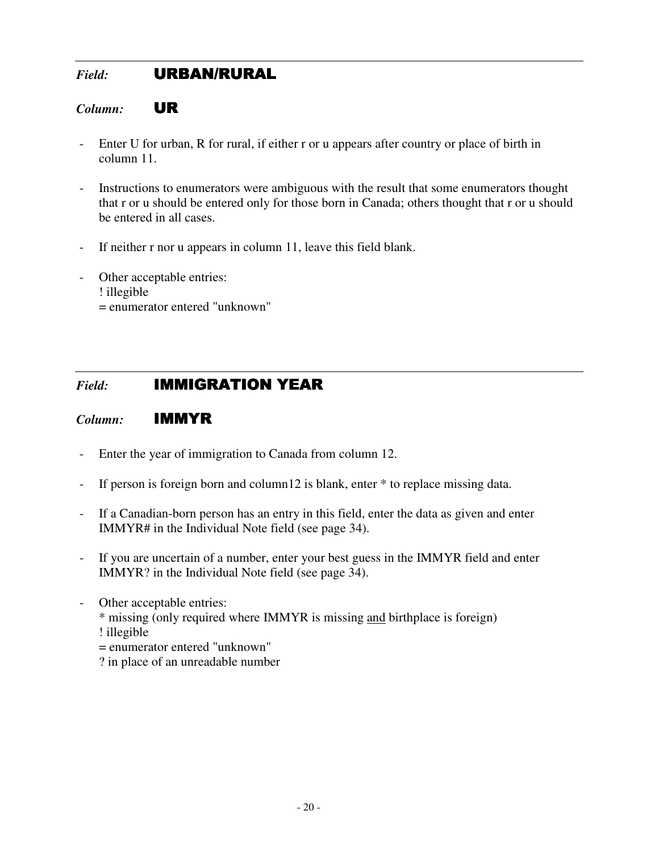## *Field:* URBAN/RURAL

#### *Column:* UR

- Enter U for urban, R for rural, if either r or u appears after country or place of birth in column 11.
- Instructions to enumerators were ambiguous with the result that some enumerators thought that r or u should be entered only for those born in Canada; others thought that r or u should be entered in all cases.
- If neither r nor u appears in column 11, leave this field blank.
- Other acceptable entries: ! illegible
	- = enumerator entered "unknown"

## Field: **IMMIGRATION YEAR**

#### *Column:* IMMYR

- Enter the year of immigration to Canada from column 12.
- If person is foreign born and column12 is blank, enter \* to replace missing data.
- If a Canadian-born person has an entry in this field, enter the data as given and enter IMMYR# in the Individual Note field (see page 34).
- If you are uncertain of a number, enter your best guess in the IMMYR field and enter IMMYR? in the Individual Note field (see page 34).
- Other acceptable entries:
	- \* missing (only required where IMMYR is missing and birthplace is foreign) ! illegible
	- = enumerator entered "unknown"
	- ? in place of an unreadable number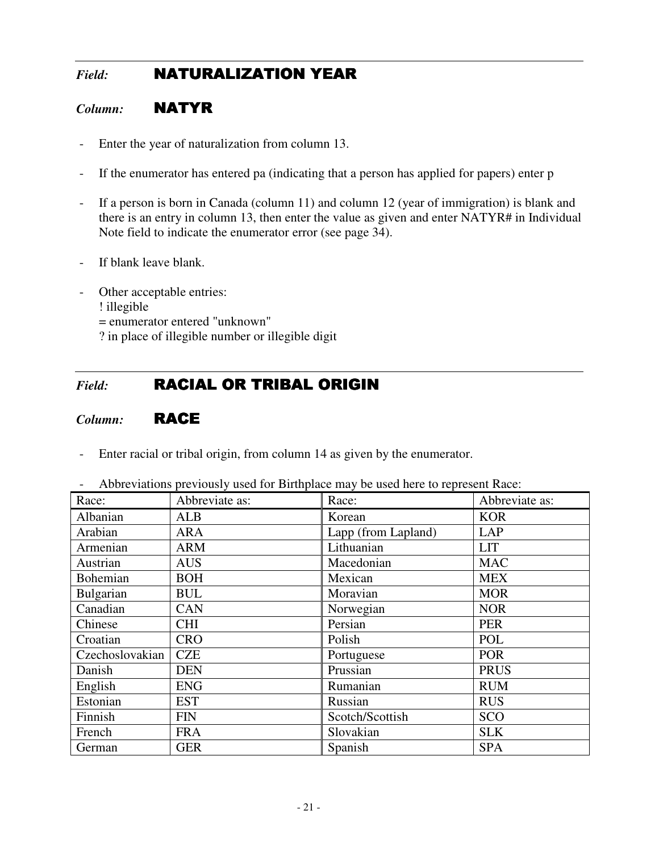## *Field:* **NATURALIZATION YEAR**

#### *Column:* NATYR

- Enter the year of naturalization from column 13.
- If the enumerator has entered pa (indicating that a person has applied for papers) enter p
- If a person is born in Canada (column 11) and column 12 (year of immigration) is blank and there is an entry in column 13, then enter the value as given and enter NATYR# in Individual Note field to indicate the enumerator error (see page 34).
- If blank leave blank.
- Other acceptable entries:
	- ! illegible
	- = enumerator entered "unknown"
	- ? in place of illegible number or illegible digit

## *Field:* **RACIAL OR TRIBAL ORIGIN**

#### *Column:* RACE

- Enter racial or tribal origin, from column 14 as given by the enumerator.

| Race:           | Abbreviate as: | Race:               | Abbreviate as: |
|-----------------|----------------|---------------------|----------------|
| Albanian        | <b>ALB</b>     | Korean              | <b>KOR</b>     |
| Arabian         | <b>ARA</b>     | Lapp (from Lapland) | LAP            |
| Armenian        | <b>ARM</b>     | Lithuanian          | <b>LIT</b>     |
| Austrian        | <b>AUS</b>     | Macedonian          | <b>MAC</b>     |
| Bohemian        | <b>BOH</b>     | Mexican             | <b>MEX</b>     |
| Bulgarian       | <b>BUL</b>     | Moravian            | <b>MOR</b>     |
| Canadian        | <b>CAN</b>     | Norwegian           | <b>NOR</b>     |
| Chinese         | <b>CHI</b>     | Persian             | <b>PER</b>     |
| Croatian        | <b>CRO</b>     | Polish              | POL            |
| Czechoslovakian | <b>CZE</b>     | Portuguese          | <b>POR</b>     |
| Danish          | <b>DEN</b>     | Prussian            | <b>PRUS</b>    |
| English         | <b>ENG</b>     | Rumanian            | <b>RUM</b>     |
| Estonian        | <b>EST</b>     | Russian             | <b>RUS</b>     |
| Finnish         | <b>FIN</b>     | Scotch/Scottish     | SCO            |
| French          | <b>FRA</b>     | Slovakian           | <b>SLK</b>     |
| German          | <b>GER</b>     | Spanish             | <b>SPA</b>     |

- Abbreviations previously used for Birthplace may be used here to represent Race: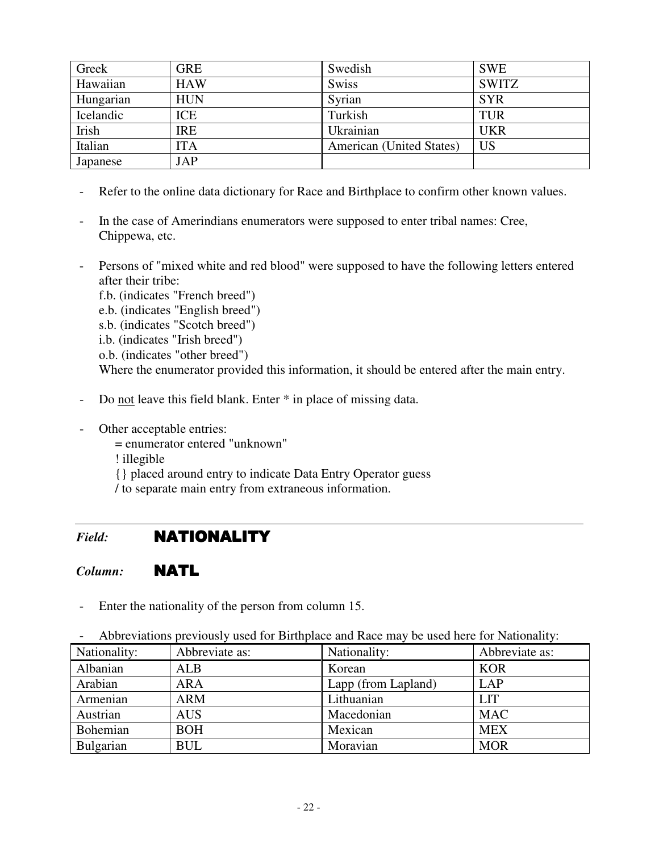| Greek     | <b>GRE</b> | Swedish                  | <b>SWE</b>   |
|-----------|------------|--------------------------|--------------|
| Hawaiian  | <b>HAW</b> | <b>Swiss</b>             | <b>SWITZ</b> |
| Hungarian | <b>HUN</b> | Syrian                   | <b>SYR</b>   |
| Icelandic | ICE        | Turkish                  | <b>TUR</b>   |
| Irish     | <b>IRE</b> | Ukrainian                | <b>UKR</b>   |
| Italian   | ITA        | American (United States) | <b>US</b>    |
| Japanese  | JAP        |                          |              |

- Refer to the online data dictionary for Race and Birthplace to confirm other known values.
- In the case of Amerindians enumerators were supposed to enter tribal names: Cree, Chippewa, etc.
- Persons of "mixed white and red blood" were supposed to have the following letters entered after their tribe:
	- f.b. (indicates "French breed")
	- e.b. (indicates "English breed")
	- s.b. (indicates "Scotch breed")
	- i.b. (indicates "Irish breed")
	- o.b. (indicates "other breed")

Where the enumerator provided this information, it should be entered after the main entry.

- Do not leave this field blank. Enter  $*$  in place of missing data.
- Other acceptable entries:
	- = enumerator entered "unknown"
	- ! illegible
	- {} placed around entry to indicate Data Entry Operator guess
	- / to separate main entry from extraneous information.

## *Field:* NATIONALITY

*Column:* NATL

| - Abbreviations previously used for Birthplace and Race may be used here for Nationality: |                |                     |                |  |
|-------------------------------------------------------------------------------------------|----------------|---------------------|----------------|--|
| Nationality:                                                                              | Abbreviate as: | Nationality:        | Abbreviate as: |  |
| Albanian                                                                                  | <b>ALB</b>     | Korean              | <b>KOR</b>     |  |
| Arabian                                                                                   | <b>ARA</b>     | Lapp (from Lapland) | <b>LAP</b>     |  |
| Armenian                                                                                  | <b>ARM</b>     | Lithuanian          | <b>LIT</b>     |  |
| Austrian                                                                                  | <b>AUS</b>     | Macedonian          | <b>MAC</b>     |  |
| Bohemian                                                                                  | <b>BOH</b>     | Mexican             | <b>MEX</b>     |  |
| <b>Bulgarian</b>                                                                          | <b>BUL</b>     | Moravian            | <b>MOR</b>     |  |

- Enter the nationality of the person from column 15.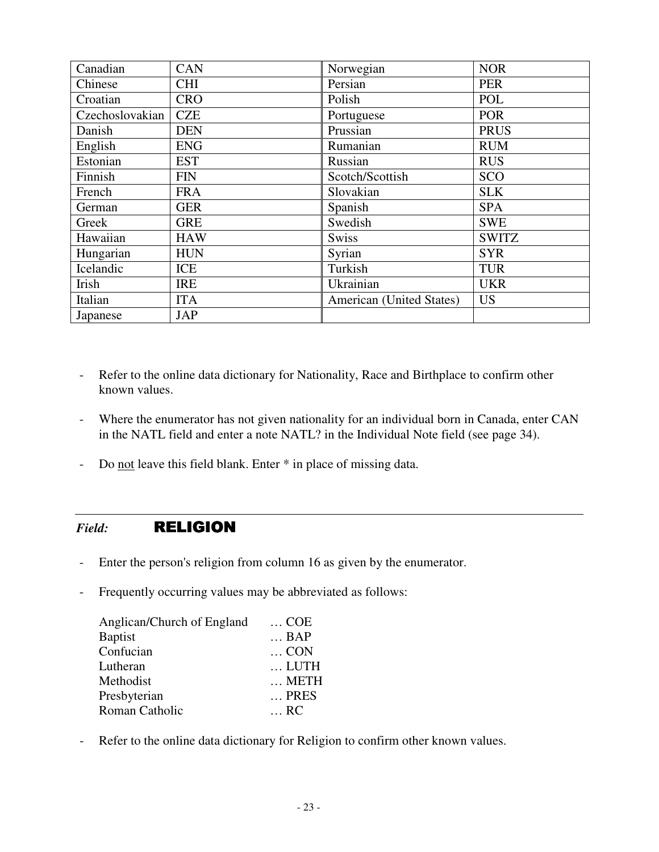| Canadian        | CAN        | Norwegian                | <b>NOR</b>   |
|-----------------|------------|--------------------------|--------------|
| Chinese         | <b>CHI</b> | Persian                  | <b>PER</b>   |
| Croatian        | <b>CRO</b> | Polish                   | POL          |
| Czechoslovakian | <b>CZE</b> | Portuguese               | <b>POR</b>   |
| Danish          | <b>DEN</b> | Prussian                 | <b>PRUS</b>  |
| English         | <b>ENG</b> | Rumanian                 | <b>RUM</b>   |
| Estonian        | <b>EST</b> | Russian                  | <b>RUS</b>   |
| Finnish         | <b>FIN</b> | Scotch/Scottish          | <b>SCO</b>   |
| French          | <b>FRA</b> | Slovakian                | <b>SLK</b>   |
| German          | <b>GER</b> | Spanish                  | <b>SPA</b>   |
| Greek           | <b>GRE</b> | Swedish                  | <b>SWE</b>   |
| Hawaiian        | <b>HAW</b> | <b>Swiss</b>             | <b>SWITZ</b> |
| Hungarian       | <b>HUN</b> | Syrian                   | <b>SYR</b>   |
| Icelandic       | ICE        | Turkish                  | <b>TUR</b>   |
| Irish           | <b>IRE</b> | Ukrainian                | <b>UKR</b>   |
| Italian         | <b>ITA</b> | American (United States) | <b>US</b>    |
| Japanese        | <b>JAP</b> |                          |              |

- Refer to the online data dictionary for Nationality, Race and Birthplace to confirm other known values.
- Where the enumerator has not given nationality for an individual born in Canada, enter CAN in the NATL field and enter a note NATL? in the Individual Note field (see page 34).
- Do not leave this field blank. Enter \* in place of missing data.

#### *Field:* RELIGION

- Enter the person's religion from column 16 as given by the enumerator.
- Frequently occurring values may be abbreviated as follows:

| Anglican/Church of England | $\ldots$ COE  |
|----------------------------|---------------|
| <b>Baptist</b>             | $\ldots$ BAP  |
| Confucian                  | $\ldots$ CON  |
| Lutheran                   | LUTH          |
| Methodist                  | $\ldots$ METH |
| Presbyterian               | $\ldots$ PRES |
| Roman Catholic             | $\ldots$ RC   |

- Refer to the online data dictionary for Religion to confirm other known values.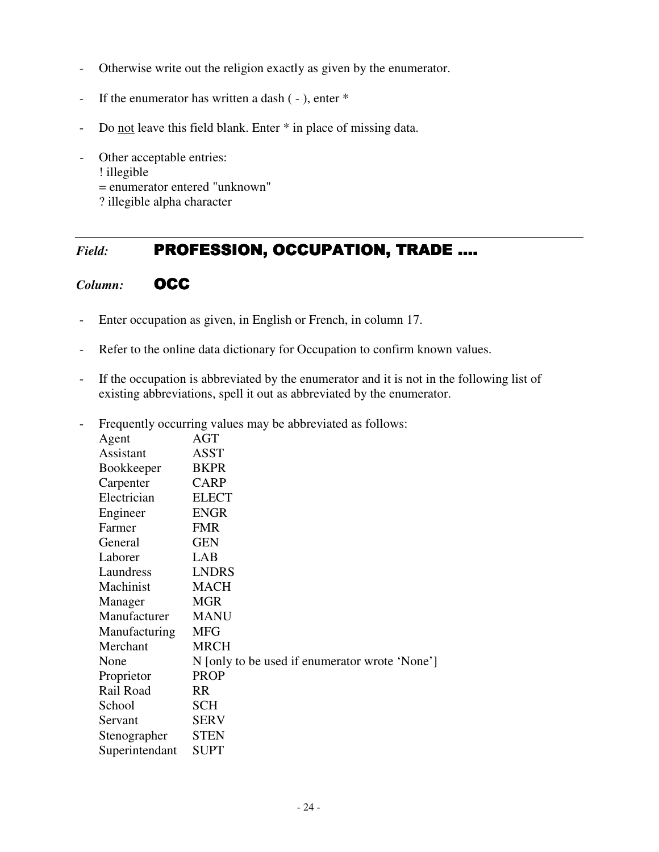- Otherwise write out the religion exactly as given by the enumerator.
- If the enumerator has written a dash ( ), enter \*
- Do not leave this field blank. Enter  $*$  in place of missing data.
- Other acceptable entries:
	- ! illegible
	- = enumerator entered "unknown"
	- ? illegible alpha character

## *Field:* **PROFESSION, OCCUPATION, TRADE ….**

#### *Column:* OCC

- Enter occupation as given, in English or French, in column 17.
- Refer to the online data dictionary for Occupation to confirm known values.
- If the occupation is abbreviated by the enumerator and it is not in the following list of existing abbreviations, spell it out as abbreviated by the enumerator.
- Frequently occurring values may be abbreviated as follows:

| Agent             | AGT                                            |
|-------------------|------------------------------------------------|
| Assistant         | <b>ASST</b>                                    |
| <b>Bookkeeper</b> | <b>BKPR</b>                                    |
| Carpenter         | <b>CARP</b>                                    |
| Electrician       | <b>ELECT</b>                                   |
| Engineer          | <b>ENGR</b>                                    |
| Farmer            | <b>FMR</b>                                     |
| General           | <b>GEN</b>                                     |
| Laborer           | LAB                                            |
| Laundress         | <b>LNDRS</b>                                   |
| Machinist         | <b>MACH</b>                                    |
| Manager           | <b>MGR</b>                                     |
| Manufacturer      | <b>MANU</b>                                    |
| Manufacturing     | MFG                                            |
| Merchant          | <b>MRCH</b>                                    |
| None              | N [only to be used if enumerator wrote 'None'] |
| Proprietor        | <b>PROP</b>                                    |
| Rail Road         | RR                                             |
| School            | <b>SCH</b>                                     |
| Servant           | <b>SERV</b>                                    |
| Stenographer      | <b>STEN</b>                                    |
| Superintendant    | <b>SUPT</b>                                    |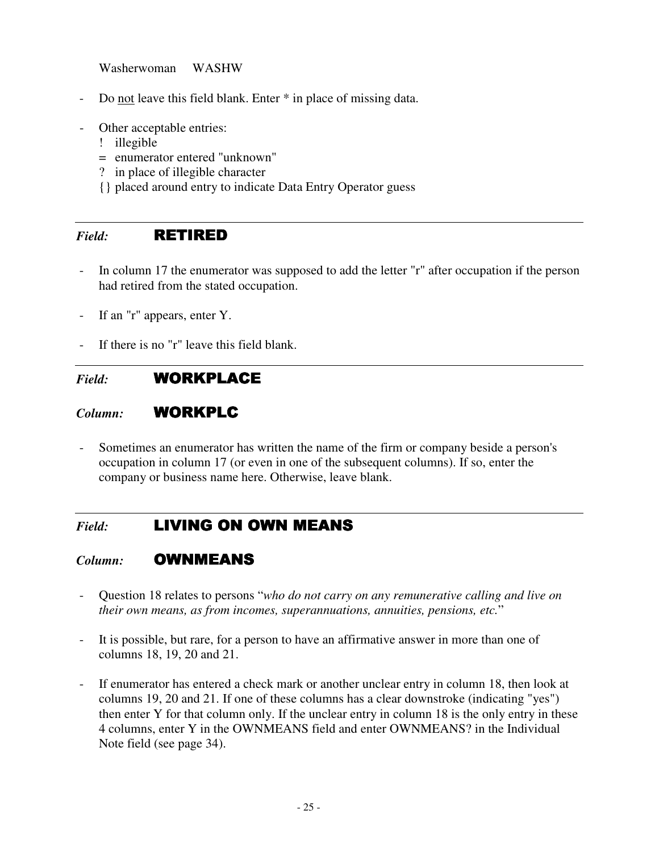Washerwoman WASHW

- Do not leave this field blank. Enter \* in place of missing data.
- Other acceptable entries:
	- ! illegible
	- = enumerator entered "unknown"
	- ? in place of illegible character
	- {} placed around entry to indicate Data Entry Operator guess

#### *Field:* RETIRED

- In column 17 the enumerator was supposed to add the letter "r" after occupation if the person had retired from the stated occupation.
- If an "r" appears, enter Y.
- If there is no "r" leave this field blank.

## *Field:* WORKPLACE WORKPLACE

#### Column: **WORKPLC**

Sometimes an enumerator has written the name of the firm or company beside a person's occupation in column 17 (or even in one of the subsequent columns). If so, enter the company or business name here. Otherwise, leave blank.

#### *Field:* LIVING ON OWN MEANS

#### *Column:* OWNMEANS

- Question 18 relates to persons "*who do not carry on any remunerative calling and live on their own means, as from incomes, superannuations, annuities, pensions, etc.*"
- It is possible, but rare, for a person to have an affirmative answer in more than one of columns 18, 19, 20 and 21.
- If enumerator has entered a check mark or another unclear entry in column 18, then look at columns 19, 20 and 21. If one of these columns has a clear downstroke (indicating "yes") then enter Y for that column only. If the unclear entry in column 18 is the only entry in these 4 columns, enter Y in the OWNMEANS field and enter OWNMEANS? in the Individual Note field (see page 34).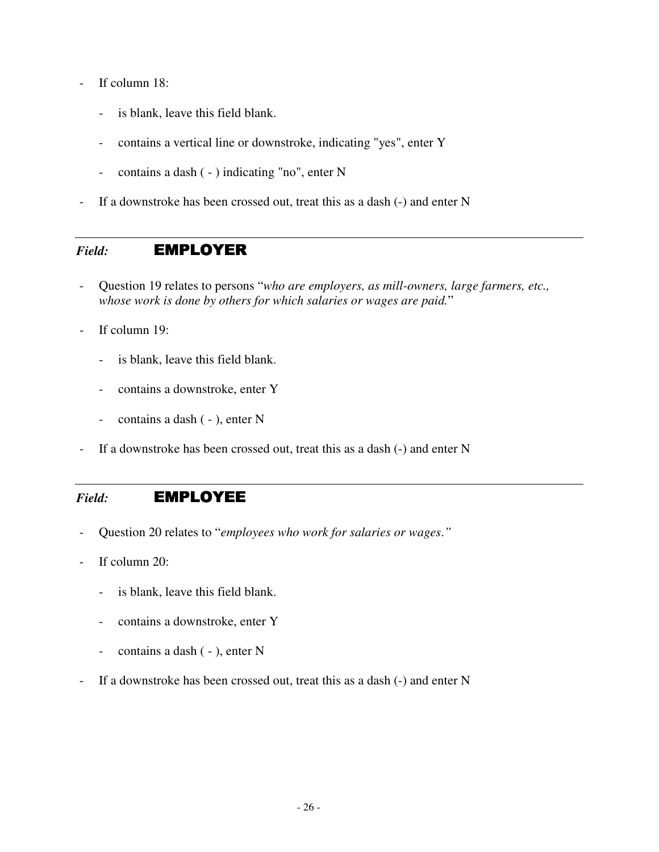- If column 18:
	- is blank, leave this field blank.
	- contains a vertical line or downstroke, indicating "yes", enter Y
	- contains a dash ( ) indicating "no", enter N
- If a downstroke has been crossed out, treat this as a dash (-) and enter N

#### Field: **EMPLOYER**

- Question 19 relates to persons "*who are employers, as mill-owners, large farmers, etc., whose work is done by others for which salaries or wages are paid.*"
- If column 19:
	- is blank, leave this field blank.
	- contains a downstroke, enter Y
	- contains a dash ( ), enter N
- If a downstroke has been crossed out, treat this as a dash (-) and enter N

#### *Field:* EMPLOYEE EMPLOYEE

- Question 20 relates to "*employees who work for salaries or wages*.*"*
- If column 20:
	- is blank, leave this field blank.
	- contains a downstroke, enter Y
	- contains a dash ( ), enter N
- If a downstroke has been crossed out, treat this as a dash (-) and enter N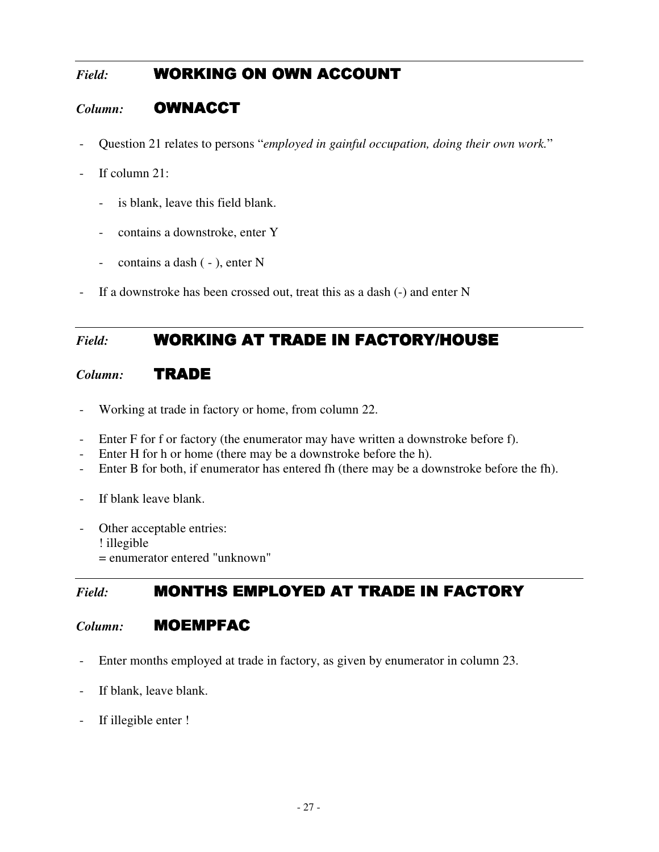## **Field: WORKING ON OWN ACCOUNT**

## Column: **OWNACCT**

- Question 21 relates to persons "*employed in gainful occupation, doing their own work.*"
- If column 21:
	- is blank, leave this field blank.
	- contains a downstroke, enter Y
	- contains a dash ( ), enter N
- If a downstroke has been crossed out, treat this as a dash (-) and enter N

## *Field:* **WORKING AT TRADE IN FACTORY/HOUSE**

#### *Column:* TRADE

- Working at trade in factory or home, from column 22.
- Enter F for f or factory (the enumerator may have written a downstroke before f).
- Enter H for h or home (there may be a downstroke before the h).
- Enter B for both, if enumerator has entered fh (there may be a downstroke before the fh).
- If blank leave blank.
- Other acceptable entries: ! illegible = enumerator entered "unknown"

## Field: **MONTHS EMPLOYED AT TRADE IN FACTORY**

#### *Column:* **MOEMPFAC**

- Enter months employed at trade in factory, as given by enumerator in column 23.
- If blank, leave blank.
- If illegible enter !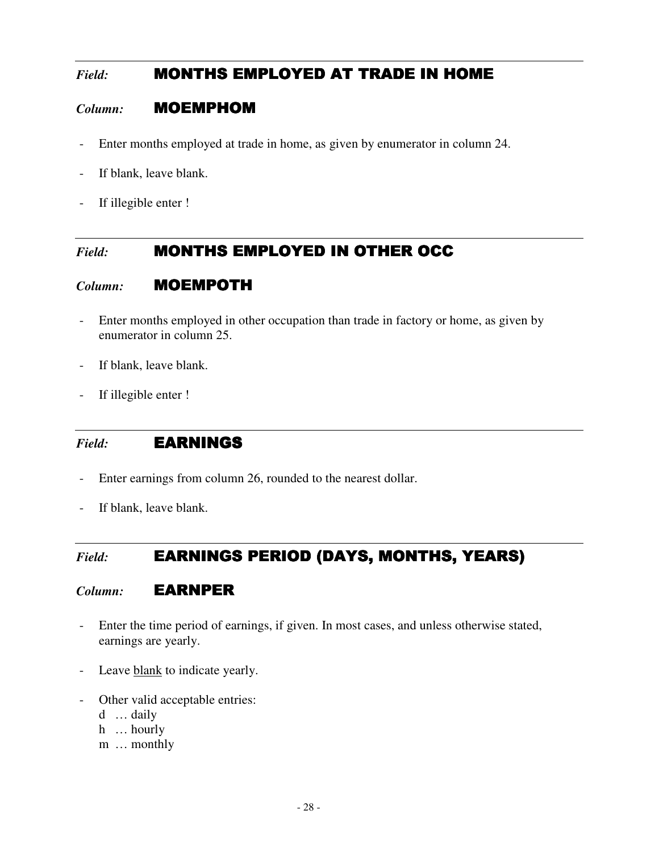## Field: **MONTHS EMPLOYED AT TRADE IN HOME**

#### *Column:* MOEMPHOM

- Enter months employed at trade in home, as given by enumerator in column 24.
- If blank, leave blank.
- If illegible enter !

#### Field: **MONTHS EMPLOYED IN OTHER OCC**

#### *Column:* MOEMPOTH

- Enter months employed in other occupation than trade in factory or home, as given by enumerator in column 25.
- If blank, leave blank.
- If illegible enter !

#### *Field:* EARNINGS

- Enter earnings from column 26, rounded to the nearest dollar.
- If blank, leave blank.

## *Field:* **EARNINGS PERIOD (DAYS, MONTHS, YEARS)**

#### *Column:* **EARNPER**

- Enter the time period of earnings, if given. In most cases, and unless otherwise stated, earnings are yearly.
- Leave blank to indicate yearly.
- Other valid acceptable entries:
	- d … daily
	- h … hourly
	- m … monthly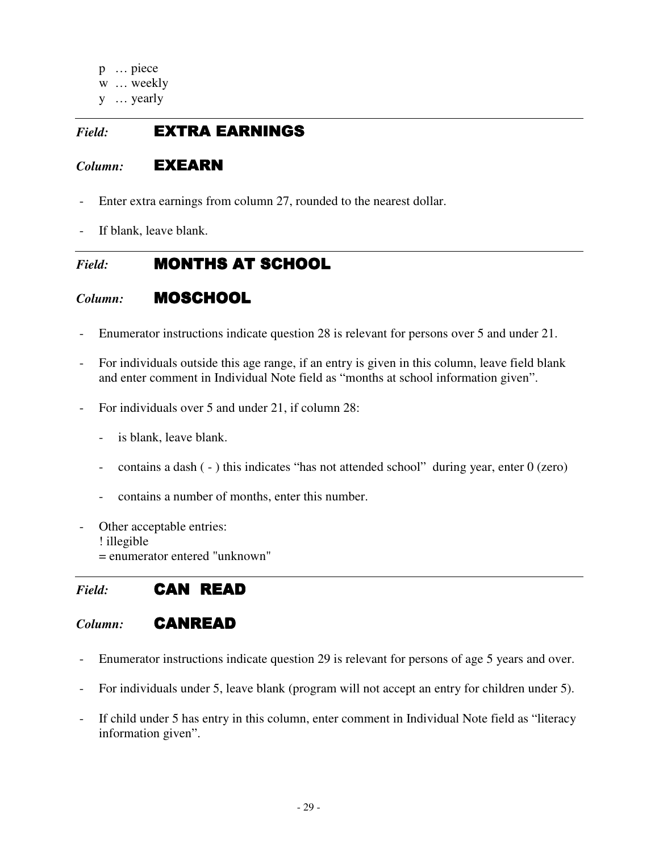- p … piece
- w … weekly
- y … yearly

#### *Field:* EXTRA EARNINGS

#### *Column:* EXEARN

- Enter extra earnings from column 27, rounded to the nearest dollar.
- If blank, leave blank.

## *Field:* **MONTHS AT SCHOOL**

## *Column:* MOSCHOOL

- Enumerator instructions indicate question 28 is relevant for persons over 5 and under 21.
- For individuals outside this age range, if an entry is given in this column, leave field blank and enter comment in Individual Note field as "months at school information given".
- For individuals over 5 and under 21, if column 28:
	- is blank, leave blank.
	- contains a dash ( ) this indicates "has not attended school" during year, enter 0 (zero)
	- contains a number of months, enter this number.
- Other acceptable entries: ! illegible
	- = enumerator entered "unknown"

## *Field:* CAN READ

#### *Column:* CANREAD

- Enumerator instructions indicate question 29 is relevant for persons of age 5 years and over.
- For individuals under 5, leave blank (program will not accept an entry for children under 5).
- If child under 5 has entry in this column, enter comment in Individual Note field as "literacy information given".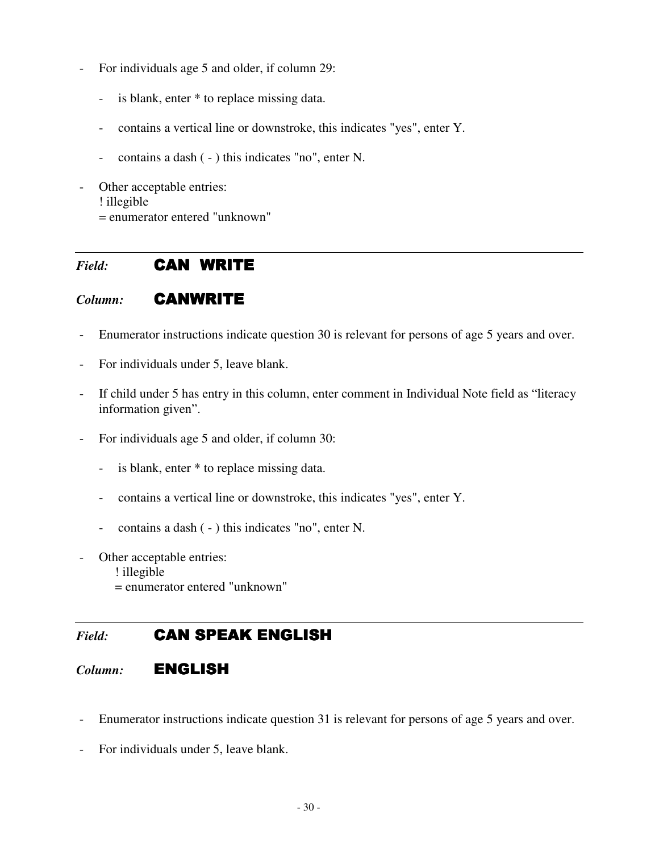- For individuals age 5 and older, if column 29:
	- is blank, enter \* to replace missing data.
	- contains a vertical line or downstroke, this indicates "yes", enter Y.
	- contains a dash ( ) this indicates "no", enter N.
- Other acceptable entries: ! illegible = enumerator entered "unknown"

#### *Field:* CAN WRITE

#### *Column:* CANWRITE

- Enumerator instructions indicate question 30 is relevant for persons of age 5 years and over.
- For individuals under 5, leave blank.
- If child under 5 has entry in this column, enter comment in Individual Note field as "literacy information given".
- For individuals age 5 and older, if column 30:
	- is blank, enter  $*$  to replace missing data.
	- contains a vertical line or downstroke, this indicates "yes", enter Y.
	- contains a dash ( ) this indicates "no", enter N.
- Other acceptable entries:
	- ! illegible
	- = enumerator entered "unknown"

#### **Field: CAN SPEAK ENGLISH**

#### *Column:* ENGLISH

- Enumerator instructions indicate question 31 is relevant for persons of age 5 years and over.
- For individuals under 5, leave blank.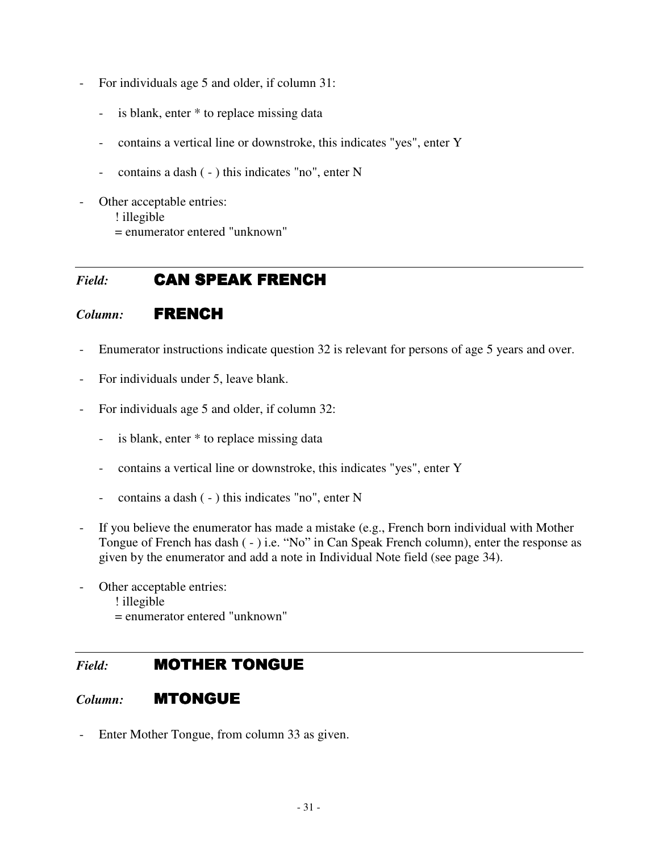- For individuals age 5 and older, if column 31:
	- is blank, enter  $*$  to replace missing data
	- contains a vertical line or downstroke, this indicates "yes", enter Y
	- contains a dash ( ) this indicates "no", enter N
- Other acceptable entries: ! illegible = enumerator entered "unknown"

#### *Field:* CAN SPEAK FRENCH

#### *Column:* FRENCH

- Enumerator instructions indicate question 32 is relevant for persons of age 5 years and over.
- For individuals under 5, leave blank.
- For individuals age 5 and older, if column 32:
	- is blank, enter  $*$  to replace missing data
	- contains a vertical line or downstroke, this indicates "yes", enter Y
	- contains a dash ( ) this indicates "no", enter N
- If you believe the enumerator has made a mistake (e.g., French born individual with Mother Tongue of French has dash ( - ) i.e. "No" in Can Speak French column), enter the response as given by the enumerator and add a note in Individual Note field (see page 34).
- Other acceptable entries:
	- ! illegible
	- = enumerator entered "unknown"

#### *Field:* **MOTHER TONGUE**

#### *Column:* MTONGUE

- Enter Mother Tongue, from column 33 as given.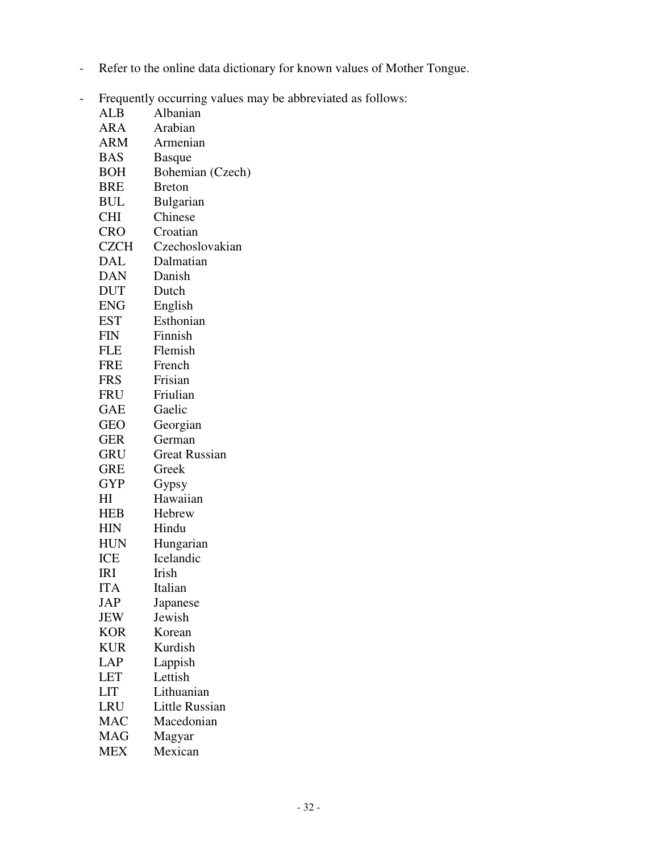- Refer to the online data dictionary for known values of Mother Tongue.
- Frequently occurring values may be abbreviated as follows:

| 1 requentry | $\alpha$<br>rule 0.1cm 1.1cm |
|-------------|------------------------------|
| ALB         | Albanian                     |
| ARA         | Arabian                      |
| ARM         | Armenian                     |
| <b>BAS</b>  | <b>Basque</b>                |
| <b>BOH</b>  | Bohemian (Czech)             |
| BRE         | <b>Breton</b>                |
| BUL         | <b>Bulgarian</b>             |
| <b>CHI</b>  | Chinese                      |
| CRO-        | Croatian                     |
| <b>CZCH</b> | Czechoslovakian              |
| DAL         | Dalmatian                    |
| DAN         | Danish                       |
| <b>DUT</b>  | Dutch                        |
| ENG         | English                      |
| <b>EST</b>  | Esthonian                    |
| <b>FIN</b>  | Finnish                      |
| <b>FLE</b>  | Flemish                      |
| FRE         | French                       |
| <b>FRS</b>  | Frisian                      |
| FRU         | Friulian                     |
| GAE         | Gaelic                       |
| <b>GEO</b>  | Georgian                     |
| <b>GER</b>  | German                       |
| <b>GRU</b>  | <b>Great Russian</b>         |
| <b>GRE</b>  | Greek                        |
| <b>GYP</b>  | Gypsy                        |
| HI          | Hawaiian                     |
| HEB         | Hebrew                       |
| HIN         | Hindu                        |
| <b>HUN</b>  | Hungarian                    |
| ICE         | Icelandic                    |
| IRI         | Irish                        |
| ITA         | Italian                      |
| JAP         | Japanese                     |
| JEW         | Jewish                       |
| <b>KOR</b>  | Korean                       |
| <b>KUR</b>  | Kurdish                      |
| <b>LAP</b>  | Lappish                      |
| <b>LET</b>  | Lettish                      |
| <b>LIT</b>  | Lithuanian                   |
| LRU         | Little Russian               |
| MAC         | Macedonian                   |
| MAG         | Magyar                       |
| <b>MEX</b>  | Mexican                      |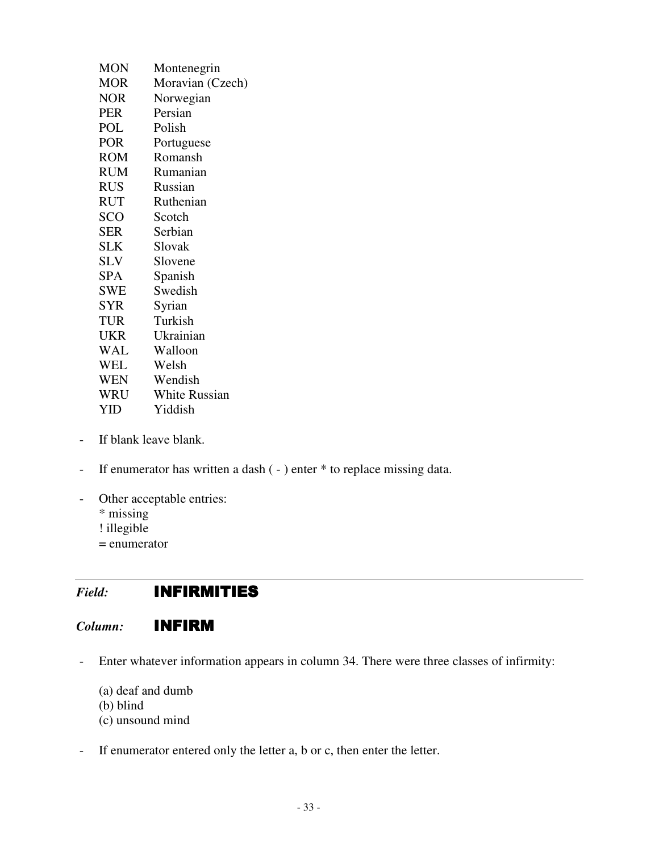| <b>MON</b> | Montenegrin          |
|------------|----------------------|
| <b>MOR</b> | Moravian (Czech)     |
| NOR        | Norwegian            |
| <b>PER</b> | Persian              |
| POL        | Polish               |
| <b>POR</b> | Portuguese           |
| ROM        | Romansh              |
| RUM        | Rumanian             |
| <b>RUS</b> | Russian              |
| <b>RUT</b> | Ruthenian            |
| <b>SCO</b> | Scotch               |
| <b>SER</b> | Serbian              |
| <b>SLK</b> | Slovak               |
| <b>SLV</b> | Slovene              |
| SPA        | Spanish              |
| <b>SWE</b> | Swedish              |
| <b>SYR</b> | Syrian               |
| <b>TUR</b> | Turkish              |
| <b>UKR</b> | Ukrainian            |
| <b>WAL</b> | Walloon              |
| <b>WEL</b> | Welsh                |
| <b>WEN</b> | Wendish              |
| WRU        | <b>White Russian</b> |
| YID        | Yiddish              |

- If blank leave blank.
- If enumerator has written a dash (-) enter \* to replace missing data.
- Other acceptable entries:
	- \* missing
	- ! illegible
	- = enumerator

## *Field:* INFIRMITIES

#### *Column:* INFIRM

- Enter whatever information appears in column 34. There were three classes of infirmity:
	- (a) deaf and dumb
	- (b) blind
	- (c) unsound mind
- If enumerator entered only the letter a, b or c, then enter the letter.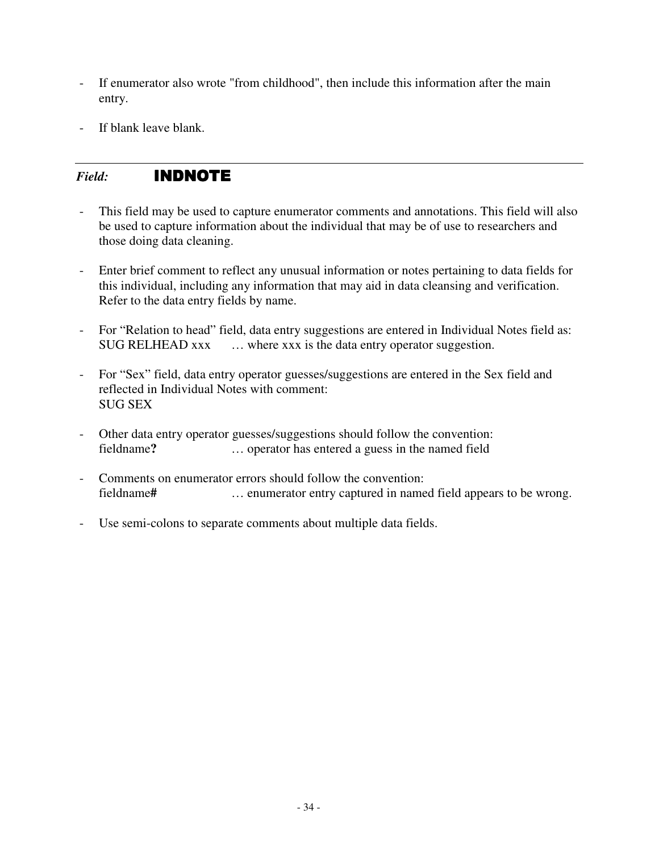- If enumerator also wrote "from childhood", then include this information after the main entry.
- If blank leave blank.

#### *Field:* INDNOTE INDNOTE

- This field may be used to capture enumerator comments and annotations. This field will also be used to capture information about the individual that may be of use to researchers and those doing data cleaning.
- Enter brief comment to reflect any unusual information or notes pertaining to data fields for this individual, including any information that may aid in data cleansing and verification. Refer to the data entry fields by name.
- For "Relation to head" field, data entry suggestions are entered in Individual Notes field as: SUG RELHEAD xxx ... where xxx is the data entry operator suggestion.
- For "Sex" field, data entry operator guesses/suggestions are entered in the Sex field and reflected in Individual Notes with comment: SUG SEX
- Other data entry operator guesses/suggestions should follow the convention: fieldname**?** … operator has entered a guess in the named field
- Comments on enumerator errors should follow the convention: fieldname**#** … enumerator entry captured in named field appears to be wrong.
- Use semi-colons to separate comments about multiple data fields.